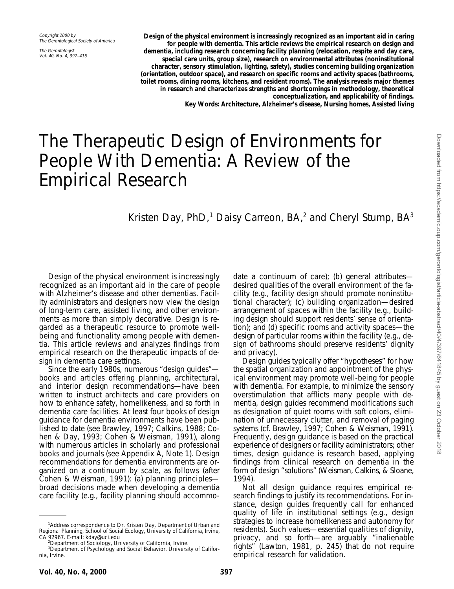Copyright 2000 by The Gerontological Society of America

The Gerontologist Vol. 40, No. 4, 397–416

**Design of the physical environment is increasingly recognized as an important aid in caring for people with dementia. This article reviews the empirical research on design and dementia, including research concerning facility planning (relocation, respite and day care, special care units, group size), research on environmental attributes (noninstitutional character, sensory stimulation, lighting, safety), studies concerning building organization (orientation, outdoor space), and research on specific rooms and activity spaces (bathrooms, toilet rooms, dining rooms, kitchens, and resident rooms). The analysis reveals major themes in research and characterizes strengths and shortcomings in methodology, theoretical conceptualization, and applicability of findings.**

### **Key Words: Architecture, Alzheimer's disease, Nursing homes, Assisted living**

# The Therapeutic Design of Environments for People With Dementia: A Review of the Empirical Research

## Kristen Day, PhD,<sup>1</sup> Daisy Carreon, BA,<sup>2</sup> and Cheryl Stump, BA<sup>3</sup>

Design of the physical environment is increasingly recognized as an important aid in the care of people with Alzheimer's disease and other dementias. Facility administrators and designers now view the design of long-term care, assisted living, and other environments as more than simply decorative. Design is regarded as a therapeutic resource to promote wellbeing and functionality among people with dementia. This article reviews and analyzes findings from empirical research on the therapeutic impacts of design in dementia care settings.

Since the early 1980s, numerous "design guides" books and articles offering planning, architectural, and interior design recommendations—have been written to instruct architects and care providers on how to enhance safety, homelikeness, and so forth in dementia care facilities. At least four books of design guidance for dementia environments have been published to date (see Brawley, 1997; Calkins, 1988; Cohen & Day, 1993; Cohen & Weisman, 1991), along with numerous articles in scholarly and professional books and journals (see Appendix A, Note 1). Design recommendations for dementia environments are organized on a continuum by scale, as follows (after Cohen & Weisman, 1991): (a) planning principles broad decisions made when developing a dementia care facility (e.g., facility planning should accommodate a continuum of care); (b) general attributes desired qualities of the overall environment of the facility (e.g., facility design should promote noninstitutional character); (c) building organization—desired arrangement of spaces within the facility (e.g., building design should support residents' sense of orientation); and (d) specific rooms and activity spaces—the design of particular rooms within the facility (e.g., design of bathrooms should preserve residents' dignity and privacy).

Design guides typically offer "hypotheses" for how the spatial organization and appointment of the physical environment may promote well-being for people with dementia. For example, to minimize the sensory overstimulation that afflicts many people with dementia, design guides recommend modifications such as designation of quiet rooms with soft colors, elimination of unnecessary clutter, and removal of paging systems (cf. Brawley, 1997; Cohen & Weisman, 1991). Frequently, design guidance is based on the practical experience of designers or facility administrators; other times, design guidance is research based, applying findings from clinical research on dementia in the form of design "solutions" (Weisman, Calkins, & Sloane, 1994).

Not all design guidance requires empirical research findings to justify its recommendations. For instance, design guides frequently call for enhanced quality of life in institutional settings (e.g., design strategies to increase homelikeness and autonomy for residents). Such values—essential qualities of dignity, privacy, and so forth—are arguably "inalienable rights" (Lawton, 1981, p. 245) that do not require empirical research for validation.

<sup>&</sup>lt;sup>1</sup>Address correspondence to Dr. Kristen Day, Department of Urban and Regional Planning, School of Social Ecology, University of California, Irvine, CA 92967. E-mail: kday@uci.edu <sup>2</sup>

<sup>&</sup>lt;sup>2</sup>Department of Sociology, University of California, Irvine.

<sup>&</sup>lt;sup>3</sup> Department of Psychology and Social Behavior, University of California, Irvine.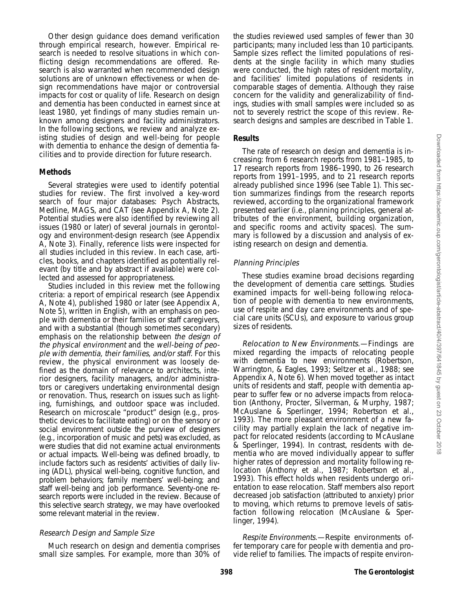Other design guidance does demand verification through empirical research, however. Empirical research is needed to resolve situations in which conflicting design recommendations are offered. Research is also warranted when recommended design solutions are of unknown effectiveness or when design recommendations have major or controversial impacts for cost or quality of life. Research on design and dementia has been conducted in earnest since at least 1980, yet findings of many studies remain unknown among designers and facility administrators. In the following sections, we review and analyze existing studies of design and well-being for people with dementia to enhance the design of dementia facilities and to provide direction for future research.

### **Methods**

Several strategies were used to identify potential studies for review. The first involved a key-word search of four major databases: Psych Abstracts, Medline, MAGS, and CAT (see Appendix A, Note 2). Potential studies were also identified by reviewing all issues (1980 or later) of several journals in gerontology and environment-design research (see Appendix A, Note 3). Finally, reference lists were inspected for all studies included in this review. In each case, articles, books, and chapters identified as potentially relevant (by title and by abstract if available) were collected and assessed for appropriateness.

Studies included in this review met the following criteria: a report of empirical research (see Appendix A, Note 4), published 1980 or later (see Appendix A, Note 5), written in English, with an emphasis on people with dementia or their families or staff caregivers, and with a substantial (though sometimes secondary) emphasis on the relationship between the design of the physical environment and the well-being of people with dementia, their families, and/or staff. For this review, the physical environment was loosely defined as the domain of relevance to architects, interior designers, facility managers, and/or administrators or caregivers undertaking environmental design or renovation. Thus, research on issues such as lighting, furnishings, and outdoor space was included. Research on microscale "product" design (e.g., prosthetic devices to facilitate eating) or on the sensory or social environment outside the purview of designers (e.g., incorporation of music and pets) was excluded, as were studies that did not examine actual environments or actual impacts. Well-being was defined broadly, to include factors such as residents' activities of daily living (ADL), physical well-being, cognitive function, and problem behaviors; family members' well-being; and staff well-being and job performance. Seventy-one research reports were included in the review. Because of this selective search strategy, we may have overlooked some relevant material in the review.

### Research Design and Sample Size

Much research on design and dementia comprises small size samples. For example, more than 30% of the studies reviewed used samples of fewer than 30 participants; many included less than 10 participants. Sample sizes reflect the limited populations of residents at the single facility in which many studies were conducted, the high rates of resident mortality, and facilities' limited populations of residents in comparable stages of dementia. Although they raise concern for the validity and generalizability of findings, studies with small samples were included so as not to severely restrict the scope of this review. Research designs and samples are described in Table 1.

### **Results**

The rate of research on design and dementia is increasing: from 6 research reports from 1981–1985, to 17 research reports from 1986–1990, to 26 research reports from 1991–1995, and to 21 research reports already published since 1996 (see Table 1). This section summarizes findings from the research reports reviewed, according to the organizational framework presented earlier (i.e., planning principles, general attributes of the environment, building organization, and specific rooms and activity spaces). The summary is followed by a discussion and analysis of existing research on design and dementia.

### Planning Principles

These studies examine broad decisions regarding the development of dementia care settings. Studies examined impacts for well-being following relocation of people with dementia to new environments, use of respite and day care environments and of special care units (SCUs), and exposure to various group sizes of residents.

Relocation to New Environments.—Findings are mixed regarding the impacts of relocating people with dementia to new environments (Robertson, Warrington, & Eagles, 1993; Seltzer et al., 1988; see Appendix A, Note 6). When moved together as intact units of residents and staff, people with dementia appear to suffer few or no adverse impacts from relocation (Anthony, Procter, Silverman, & Murphy, 1987; McAuslane & Sperlinger, 1994; Robertson et al., 1993). The more pleasant environment of a new facility may partially explain the lack of negative impact for relocated residents (according to McAuslane & Sperlinger, 1994). In contrast, residents with dementia who are moved individually appear to suffer higher rates of depression and mortality following relocation (Anthony et al., 1987; Robertson et al., 1993). This effect holds when residents undergo orientation to ease relocation. Staff members also report decreased job satisfaction (attributed to anxiety) prior to moving, which returns to premove levels of satisfaction following relocation (McAuslane & Sperlinger, 1994).

Respite Environments.—Respite environments offer temporary care for people with dementia and provide relief to families. The impacts of respite environ-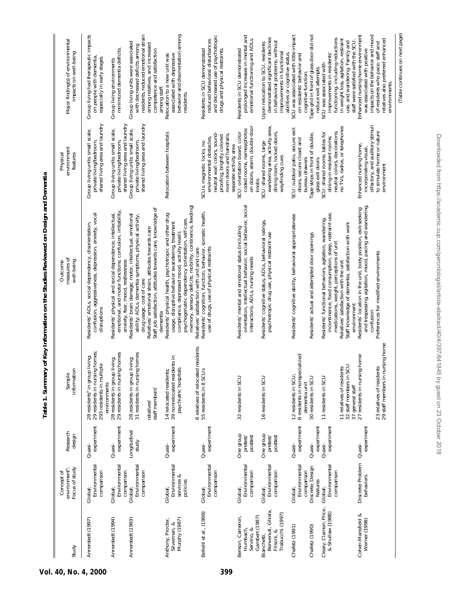| Study                                                              | Focus of study<br>environment <sup>a</sup><br>Concept of | Research<br>design                           | informatior<br>Sample                                                                                                                        | measures of<br>well-being<br>Outcome                                                                                                                                                                                                                                                                                         | environment<br>features<br>Physical                                                                                                                                     | Major finding(s) of environmental<br>mpacts on well-being                                                                                                                                                             |
|--------------------------------------------------------------------|----------------------------------------------------------|----------------------------------------------|----------------------------------------------------------------------------------------------------------------------------------------------|------------------------------------------------------------------------------------------------------------------------------------------------------------------------------------------------------------------------------------------------------------------------------------------------------------------------------|-------------------------------------------------------------------------------------------------------------------------------------------------------------------------|-----------------------------------------------------------------------------------------------------------------------------------------------------------------------------------------------------------------------|
| Annerstedt (1997)                                                  | Environmental<br>comparison<br>Global;                   | experiment<br>Quasi-                         | 29 residents in nursing homes;<br>28 residents <sup>b</sup> in group living;<br>$\frac{e}{\Omega}$<br>293 residents in multi<br>environments | confusion, aggressiveness, depression, anxiety, vocal<br>Residents' ADLs, social dependency, disorientation,<br>disruptions                                                                                                                                                                                                  | shared living area and laundry<br>Group living units: small scale,<br>private living/bedroom                                                                            | Group living had therapeutic impacts<br>on people with dementia,<br>especially in early stages.                                                                                                                       |
| Annerstedt (1994)                                                  | Environmental<br>Global;                                 | experiment<br>Quasi-                         | homes<br>living;<br>28 residents in group I<br>29 residents in nursing                                                                       | emotional, and motor functions; confusion, irritability<br>Residents' physical and social dependence; intellectual<br>anxiety, fear, mood, restlessness                                                                                                                                                                      | shared living area and laundry<br>Group living units: small scale,<br>private living/bedroom,                                                                           | minimized dementia deficits.<br>Group living environments                                                                                                                                                             |
| Annerstedt (1993)                                                  | Environmental<br>comparison<br>comparison<br>Global;     | Longitudinal<br>study                        | 31 residents in nursing homes<br>28 residents in group living;<br>staff members <sup>c</sup><br>relatives <sup>c</sup>                       | Staff job satisfaction, attitudes towards care, knowledge of<br>Residents' brain damage; motor, intellectual, emotional<br>ability; ADLs, dementia symptoms, physical activity,<br>Relatives' emotional strain, attitudes towards care<br>drug usage, cost of care<br>dementia                                               | shared living area and laundry<br>Group living units: small scale,<br>private living/bedroom,                                                                           | residents, reduced emotional strain<br>Group living units were associated<br>among relatives, and increased<br>with decreased deficits among<br>competence and satisfaction<br>among staff.                           |
| Murphy (1987)<br>Anthony, Procter,<br>Silverman, &                 | Environmental<br>services &<br>policies<br>Global;       | experiment<br>Quasi-                         | ents in<br>psychiatric hospitals<br>14 relocated residents<br>39 nonrelocated resid                                                          | memory, sensory deficits, mobility, continence, feeding)<br>Residents' physical health, psychotropic and other drug<br>psychogeriatric dependency (orientation, self-care,<br>usage, disruptive behavior (wandering, treatment<br>compliance, depressed mood, activity level);<br>Relatives' satisfaction with unit and care | Relocation between hospitals                                                                                                                                            | behavior and disorientation among<br>associated with depressive<br>Relocation to a new unit was<br>residents.                                                                                                         |
| Bellelli et al., (1998)                                            | Environmental<br>comparison<br>Global:                   | experiment<br>Quasi-                         | 8 relatives of relocated residents<br>55 residents in 8 SCUs                                                                                 | Residents' cognition, function, behavior, somatic health,<br>use of drugs, use of physical restraints                                                                                                                                                                                                                        | room doors and handrails,<br>neutral wall colors, sound<br>proofing, brightly colored<br>environmental obstacles,<br>SCUs: magnetic locks, no<br>separate activity area | and decreased use of psychotropic<br>reduced behavioral disturbances<br>Residents in SCU demonstrated<br>drugs and physical restraints.                                                                               |
| Gambert (1987)<br>Benson, Cameron,<br>Humbach,<br>Servino, &       | Environmental<br>comparison<br>Global;                   | One group<br>posttest<br>pretest/            | 32 residents in SCU                                                                                                                          | orientation, intellectual behavior, social behavior, social<br>interaction), ADLs, nursing needs<br>Residents' mental and emotional status (including                                                                                                                                                                        | on doors, alarm, double door<br>coded rooms, names/photos<br>SCU: orientation board, color<br>knobs                                                                     | prolonged increases in mental and<br>emotional functioning and ADLs.<br>Residents in SCU demonstrated                                                                                                                 |
| Benvenuti, Ghisla<br>Trabucchi (1997)<br>Frisoni, &<br>Bianchetti, | Environmental<br>comparison<br>Global;                   | One group<br>posttest<br>pretest/            | 16 residents in SCU                                                                                                                          | Residents' cognitive status, ADLs, behavioral ratings,<br>psychotropic drug use, physical restraint use                                                                                                                                                                                                                      | wandering area, activity area,<br>dining room, locked doors,<br>SCU: shared rooms, large<br>wayfinding cues                                                             | demonstrated significant declines<br>in behavioral problems, without<br>Upon relocation to SCU, residents<br>improvements in functional<br>abilities or cognitive status.                                             |
| Chafetz (1991)                                                     | Environmental<br>comparison<br>Global:                   | experiment<br>Quasi-                         | ialized<br>8 residents in nonspec<br>12 residents in SCU;<br>dementia unit                                                                   | Residents' cognitive ability, behavioral appropriateness                                                                                                                                                                                                                                                                     | SCU: outdoor patio, secure exit<br>doors, secure closet and<br>bureau drawers                                                                                           | SCU was associated with little impact<br>on residents' behavior and<br>cognitive function.                                                                                                                            |
| Cleary, Clamon, Price,<br>& Shullaw (1988)<br>Chafetz (1990)       | Environmental<br>Discrete; Design<br>features<br>Global; | experiment<br>experiment<br>Quasi-<br>Quasi- | 30 residents in SCU<br>11 residents in SCU                                                                                                   | incontinence, food consumption, sleep, restraint use,<br>Residents' functional behaviors, agitation, wandering,<br>Residents' actual and attempted door openings                                                                                                                                                             | SCU: shared rooms; tables for<br>Tape strips in front of double,<br>dining in resident rooms;<br>glass exit doors                                                       | Tape grid in front of glass door did not<br>improvements in residents'<br>SCU was associated with<br>reduce exit attempts.                                                                                            |
| Cohen-Mansfield &<br>Werner (1998)                                 | Discrete; Problem<br>comparison<br>behaviors             | experiment<br>Quasi-                         | 11 relatives of residents<br>32 staff members in SCU<br>37 general staff<br>27 residents in nursing home                                     | and trespassing, agitation, mood, pacing and wandering,<br>Residents' location in the unit, body position, exit-seeking<br>Staff knowledge of dementia, satisfaction with work<br>medications, weight, perceptions of unit<br>Relatives' satisfaction with the unit<br>environment                                           | no TVs, radios, or telephones<br>neutral colors, decorations;<br>Enhanced nursing home,<br>incorporating visual,                                                        | Enhanced nursing home environment<br>functioning, including reductions<br>in weight loss, agitation, restraint<br>use, and wandering. Family and<br>staff were satisfied with the SCU<br>was associated with positive |
|                                                                    |                                                          |                                              | 23 relatives of residents<br>29 staff members in nursing home                                                                                | Preferences for modified environments<br>confusion                                                                                                                                                                                                                                                                           | olfactory, and auditory stimuli<br>to simulate home or nature<br>environment                                                                                            | impacts on the behavior and mood<br>relatives also preferred enhanced<br>of residents who pace; staff and<br>environments                                                                                             |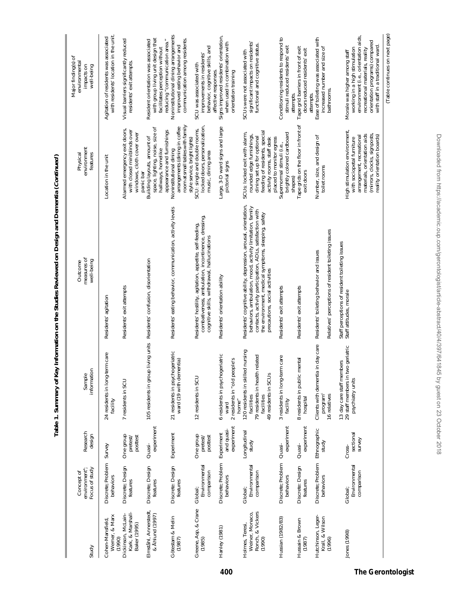Noninstitutional dining arrangements Signs improved residents' orientation, environment (i.e., orientation aids, Noninstitutional dining arrangements Residents' agitation Location in the unit Agitation of residents was associated with residents' location in the unit with residents' location in the unit. Conditioning residents to respond to Ease of toileting was associated with environment (i.e., orientation aids, Agitation of residents was associated with group living unit design that Signs improved residents' orientation Visual barriers significantly reduced Resident orientation was associated with group living unit design that<br>facilitates perception without Conditioning residents to respond to attempts.<br>Ease of toileting was associated with Visual barriers significantly reduced Resident orientation was associated reducing "communication area." communication among residents. communication among residents. reducing "communication area." significant impacts on residents' when used in combination with significant impacts on residents'<br>functional and cognitive status. when used in combination with functional and cognitive status. improved eating behavior and improved eating behavior and behavior, cognitive skills, and behavior, cognitive skills, and stimuli reduced residents' exit stimuli reduced residents' exit asi- 8 residents in public mental Residents' exit attempts Tape grids on the floor in front of Tape grid barriers in front of exit doors the pop exit doors to the floor in front of exit doors reduced residents' exit doors increased number and size of working in a high stimulation facilitates perception without attempts.<br>Tape grid barriers in front of exit increased number and size of working in a high stimulation recreational materials, reality recreational materials, reality SCUs were not associated with doors reduced residents' exit SCUs were not associated with Morale was higher among staff Morale was higher among staff improvements in residents' improvements in residents' Major finding(s) of Major finding(s) of environmental environmental residents' exit attempts. residents' exit attempts. SCU was associated with SCU was associated with impacts on well-being affective responses. affective responses. orientation training orientation training bathrooms. bathrooms. room at small tables with family locked doors, personalization, shapes)<br>Tape grids on the floor in front of<br>exit doors room at small tables with family locked doors, personalization, asi- 105 residents in group living units Residents' confusion, disorientation<br>experiment the space of space of space of space, lighting, noise, size of size of arrangements (dining in coffee arrangements (dining in coffee Residents' orientation ability Large, 3-D ward signs and large :kinson, McLain- Discrete; Design One group 7 residents in SCU Residents' exit attempts<br>Kark, & Marshall- features pretest/ pretest/ pretest/ pretest/ pretest/ pretest pretest pretest pretest/ with<br>Baker (1995) space, lighting, noise, size of SCU: single and double rooms, Large, 3-D ward signs and large Alarmed emergency exit doors, SCU: single and double rooms, with closed miniblinds over appearance and furnishings feeding of residents, special High stimulation environment, Staff attitudes, morale High stimulation environment, appearance and furnishings SCUs: locked exit with alarm, feeding of residents, special asi- 3 residents in long-term care Residents' exit attempts Supernormal supernormal stimuli (i.e., brightly colored cardboard facility facility facility colored cardboard brightly colored cardboard windows, cloth cover over SCUs: locked exit with alarm, rounded edge furnishings, materials, orientation aids Number, size, and design of arrangement, recreational rounded edge furnishings, dining set up for optional Number, size, and design of arrangement, recreational materials, orientation aids Building layouts, amount of activity rooms, staff desk style service, bright lights) dining set up for optional activity rooms, staff desk placed to monitor egress with sociopetal furniture with sociopetal furniture style service, bright lights) placed to monitor egress Supernormal stimuli (i.e. environment environment hallways, homelike Noninstitutional dining Residents' eating behavior, communication, activity levels Noninstitutional dining hallways, homelike music, dining area Physical music, dining area features ocation in the unit pictorial signs pictorial signs toilet rooms toilet rooms panic bar Residents' cognitive ability, depression, arousal, orientation, Residents' cognitive ability, depression, arousal, orientation, Residents' eating behavior, communication, activity levels behaviors, ambulation, mood, activity limitation, family<br>contacts, activity participation, ADLs, satisfaction with<br>the environment, medical symptoms, sleeping, safety behaviors, ambulation, mood, activity limitation, family contacts, activity participation, ADLs, satisfaction with the environment, medical symptoms, sleeping, safety combativeness, ambulation, incontinence, dressing,<br>cognitive skills, withdrawal, hallucinations combativeness, ambulation, incontinence, dressing, Residents' hostility, agitation, appetite, self-feeding, 12 residents in SCU Residents' hostility, agitation, appetite, self-feeding, Relatives' perceptions of resident toileting issues Relatives' perceptions of resident toileting issues cognitive skills, withdrawal, hallucinations Staff perceptions of resident toileting issues<br>Staff attitudes, morale Staff perceptions of resident toileting issues Residents' toileting behavior and issues Residents' toileting behavior and issues measures of measures of well-being 105 residents in group living units Residents' confusion, disorientation Outcome precautions, social activities precautions, social activities Residents' orientation ability Residents' exit attempts Residents' exit attempts Residents' exit attempts Residents' agitation Clients with dementia in day care Clients with dementia in day care 29 staff members in two geriatric 29 staff members in two geriatric 21 residents in psychogeriatric 120 residents in skilled nursing 120 residents in skilled nursing Experiment 21 residents in psychogeriatric 24 residents in long-term care Survey 24 residents in long-term care 6 residents in psychogeriatric 6 residents in psychogeriatric 79 residents in health related 79 residents in health related 3 residents in long-term care ward (19 with dementia) ward<br>2 residents in "old people's 2 residents in "old people's 8 residents in public mental ward (19 with dementia) 13 day care staff members 13 day care staff members nformation information Sample 49 residents in SCUs 49 residents in SCUs 12 residents in SCU psychiatry units 7 residents in SCU psychiatry units program<sup>c</sup> facilities facilities l6 relatives 16 relatives hospital facility facility home" experiment experiment experiment experiment experiment Ethnographic **Ethnographic** Longitudinal and quasi-.ongitudinal sectional Research One group<br>pretest/ **Experiment** sectional Experiment One group Experiment One group pretest design posttest posttest survey study study Survey Quasi-Discrete; Problem Quasi-Quasi-Cross-Discrete; Problem Discrete; Problem Discrete; Problem Discrete; Problem Hanley (1981) Discrete; Problem Hussian (1982/83) Discrete; Problem Discrete; Problem Discrete: Design Environmental Environmental Environmental Discrete; Design Discrete; Design Discrete; Design Discrete: Design Environmental Discrete: Design Discrete: Design Environmental Environmental -ocus of study environment<sup>a</sup> environment<sup>a</sup>; Focus of study Concept of comparison comparison comparison comparison comparison comparison behaviors behaviors behaviors behaviors behaviors behaviors behaviors behaviors features features features features Jones (1998) Global; Global; Global; Global; Greene, Asp, & Crane Elmståhl, Annerstedt, Greene, Asp, & Crane Weiner, Monaco, Ronch, & Vickers Kark, & Marshall-Elmståhl, Annerstedt Weiner, Monaco, Ronch, & Vickers (1990)<br>Dickinson, McLain-Kark, & Marshall-Werner, & Marx Dickinson, McLain-& Åhlund (1997) Werner, & Marx & Åhlund (1997) Hutchinson, Leger-Götestam & Melin Götestam & Melin Hutchinson, Leger-Krall, & Wilson Krall, & Wilson Cohen-Mansfield, Hussian (1982/83) Hussain & Brown Cohen-Mansfield Hussain & Brown Holmes, Teresi, Baker (1995) Holmes, Teresi Hanley (1981) Jones (1998) (1990) (1987) (1985) (1987) (1996) Study

Table 1. Summary of Key Information on the Studies Reviewed on Design and Dementia (Continued) **Table 1. Summary of Key Information on the Studies Reviewed on Design and Dementia (Continued )** (Table continues on next page) (Table continues on next page)

(mirrors, clocks, signposts, reality orientation boards)

(mirrors, clocks, signposts,<br>reality orientation boards)

Downloaded from https://academic.oup.com/gerontologist/article-abstract/40/4/397/641845 by guest on 23 October 2018

Downloaded from https://academic.oup.com/gerontologist/article-abstract/40/4/397/641845 by guest on 23 October 2018

orientation programs) compared with staff in a traditional ward.

with staff in a traditional ward.

orientation programs) compared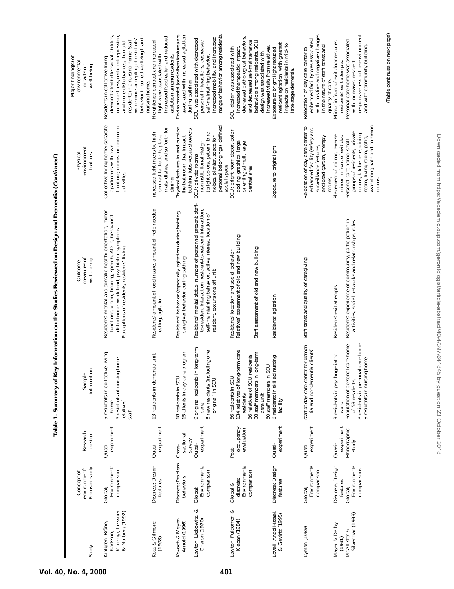Downloaded from https://academic.oup.com/gerontologist/article-abstract/40/4/397/641845 by guest on 23 October 2018 Downloaded from https://academic.oup.com/gerontologist/article-abstract/40/4/397/641845 by guest on 23 October 2018

(Table continues on next page)

(Table continues on next page)

|                      |                                                                         |                                                                         |                                               |                                                                                                                                                                    | Table 1. Summary of Key Information on the Studies Reviewed on Design and Dementia (Continued)                                                                                                                          |                                                                                                                                                                                                                                      |                                                                                                                                                                                                                                                                       |
|----------------------|-------------------------------------------------------------------------|-------------------------------------------------------------------------|-----------------------------------------------|--------------------------------------------------------------------------------------------------------------------------------------------------------------------|-------------------------------------------------------------------------------------------------------------------------------------------------------------------------------------------------------------------------|--------------------------------------------------------------------------------------------------------------------------------------------------------------------------------------------------------------------------------------|-----------------------------------------------------------------------------------------------------------------------------------------------------------------------------------------------------------------------------------------------------------------------|
| Vol. 40, No. 4, 2000 | Study                                                                   | Focus of study<br>environment <sup>a</sup><br>Concept of                | Research<br>design                            | information<br>Sample                                                                                                                                              | measures of<br>well-being<br>Outcome                                                                                                                                                                                    | environment<br>Physical<br>features                                                                                                                                                                                                  | Major finding(s) of<br>environmental<br>impacts on<br>well-being                                                                                                                                                                                                      |
|                      | Kuremyr, Leissner,<br>& Norberg (1992)<br>Kihlgren, Bråne,<br>Karlsson, | Environmental<br>comparison<br>Global;                                  | experiment<br>Quasi-                          | ve living<br>I home<br>5 residents in collectiv<br>5 residents of nursing<br>relatives <sup>c</sup><br>home<br>staff <sup>e</sup>                                  | Residents' mental and somatic health: orientation, motor<br>functions, vision, hearing, speech, ADLs, behavioral<br>disturbance, work load, psychiatric symptoms<br>Perceptions of residents, residents' living         | Collective living home: separate<br>furniture, rooms for common<br>apartments with own<br>activities                                                                                                                                 | were more accepting of residents'<br>behavior in collective living than in<br>demonstrated better social abilities,<br>more alertness, reduced depression,<br>residents in a nursing home. Staff<br>and more disturbances, than did<br>Residents in collective living |
|                      | Koss & Gilmore<br>(1998)                                                | Discrete; Design<br>features                                            | experiment<br>Quasi-                          | 13 residents in dementia unit                                                                                                                                      | Residents' amount of food intake, amount of help needed<br>eating, agitation                                                                                                                                            | mats, dishes, and so forth for<br>Increased light intensity, high<br>contrast tablecloth, place                                                                                                                                      | increased food eaten and reduced<br>Heightened contrast and increased<br>light were associated with<br>nursing home.                                                                                                                                                  |
|                      | Kovach & Meyer-<br>Arnold (1996)                                        | Discrete; Problem<br>behaviors                                          | sectional<br>Cross-                           | program<br>15 clients in day care<br>18 residents in SCU                                                                                                           | Residents' behavior (especially agitation) during bathing,<br>caregiver behavior during bathing                                                                                                                         | Physical features in and outside<br>bathing, tubs versus showers<br>the bathroom that impact<br>dining                                                                                                                               | Environmental (and other) features are<br>associated with increased agitation<br>agitation among residents.<br>during bathing.                                                                                                                                        |
|                      | Lawton, Liebowitz, &<br>Charon (1970)                                   | Environmental<br>comparison<br>Global;                                  | experiment<br>survey<br>Quasi-                | long-term<br>6 new residents (including one<br>original) in SCU<br>9 original residents in<br>care,                                                                | Residents' mental status, number of personnel present, staff-<br>to-resident interaction, resident-to-resident interaction,<br>self-maintaining behavior, active interest, location of<br>resident, excursions off unit | personal belongings), defined<br>(bright colors, pattern, bird<br>noises, planter, space for<br>noninstitutional design<br>SCU: private rooms,                                                                                       | range of behavior among residents.<br>increased mobility, and increased<br>SCU was associated with decreased<br>personal interactions, decreased<br>self-maintaining behavior,                                                                                        |
| 401                  | Lawton, Fulcomer, &<br>Kleban (1984)                                    | Environmental<br>comparison<br>discrete;<br>Global &                    | occupancy<br>evaluation<br>Post-              | 134 relatives of long-term care<br>80 staff members in long-term<br>86 relatives of SCU residents<br>56 residents in SCU<br>residents<br>care unit                 | Relatives' assessment of old and new building<br>Staff assessment of old and new building<br>Residents' location and social behavior                                                                                    | SCU: bright room decor, color<br>coding, graphics, large<br>orienting stimuli, large<br>social space<br>central area                                                                                                                 | decreased pathological behaviors,<br>behaviors among residents. SCU<br>and decreased self-maintenance<br>SCU design was associated with<br>increased therapeutic impact<br>design was associated with                                                                 |
|                      | Lovell, Ancoli-Israel,<br>& Gevirtz (1995)                              | Discrete; Design<br>features                                            | experiment<br>Quasi-                          | 6 residents in skilled nursing<br>60 staff members in SCU<br>facility                                                                                              | Residents' agitation                                                                                                                                                                                                    | Exposure to bright light                                                                                                                                                                                                             | resident agitation, with greatest<br>impacts on residents in mid-to<br>increased visits from relatives.<br>Exposure to bright light reduced<br>late-stage dementia.                                                                                                   |
|                      | Lyman (1989)                                                            | Environmental<br>comparison<br>Global;                                  | experiment<br>Quasi-                          | staff at day care center for demen-<br>tia and nondementia clients <sup>c</sup>                                                                                    | Staff stress and quality of caregiving                                                                                                                                                                                  | Relocation of day care center to<br>enhanced facility (safety and<br>enclosed garden, therapy<br>surveillance features,                                                                                                              | with positive and negative changes<br>enhanced facility was associated<br>in the nature of staff stress and<br>Relocation of day care center to                                                                                                                       |
|                      | Silverman (1999)<br>Mayer & Darby<br>McAllister &<br>(1991)             | Environmental<br>Discrete; Design<br>comparisons<br>features<br>Global; | experiment<br>Ethnographic<br>study<br>Quasi- | 8 residents in personal care home<br>Population of personal care home<br>of 59 residents,<br>9 residents in psychogeriatric<br>8 residents in nursing home<br>ward | Residents' experience of community, participation in<br>activities, social networks and relationships, roles<br>Residents' exit attempts                                                                                | wandering path and common<br>groups of residents, private<br>rooms, kitchenette, dining<br>mirror in front of exit door<br>Placement of mirror, reverse<br>room, living room, patio,<br>Personal care home: small<br>rooms)<br>rooms | responsiveness to the environment<br>Mirror in front of exit door reduced<br>Personal care home was associated<br>and with community building.<br>residents' exit attempts.<br>with increased resident<br>quality of care.                                            |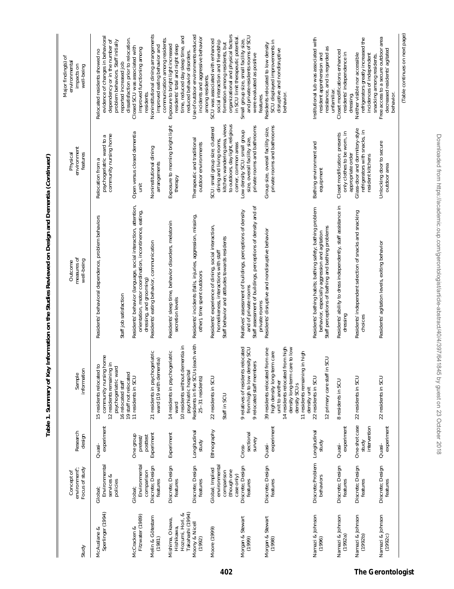evidence of changes in behavioral Noninstitutional dining arrangements Use of outdoor environments reduced organizational and physical factors and private residents rooms of SCU Noninstitutional dining arrangements time, reduced day sleep time, and time, reduced day sleep time, and Use of outdoor environments reduced organizational and physical factors and private residents rooms of SCU evidence of changes in behavioral incidents and aggressive behavior in SCU limit therapeutic potential. Institutional tub was associated with asi- 22 residents in SCU Residents' agitation levels, exiting behavior Unlocking door to secure out over access to a secure outdoor area rea Free access to a secure outdoor area Free access to a secure outdoor area decreas incidents and aggressive behavior in SCU limit therapeutic potential. refrigerators greatly increased the Free access to a secure outdoor area dissatisfaction prior to relocation. communication among residents. SCU was associated with enhanced SCU was associated with enhanced Small group size, small facility size, Institutional tub was associated with refrigerators greatly increased the dependency or in the number of problem behaviors. Staff initially problem behaviors. Staff initially dissatisfaction prior to relocation. communication among residents. social interaction and friendship social interaction and friendship SCU displayed improvements in dependency or in the number of Small group size, small facility size, SCU displayed improvements in Residents relocated to low density formation among residents, but Residents relocated to low density Exposure to bright light increased Exposure to bright light increased formation among residents, but improved eating behavior and residents' total and night sleep residents' total and night sleep Closed SCU was associated with improved eating behavior and Closed SCU was associated with resistance, and is regarded as improved functioning among improved functioning among resistance, and is regarded as disruptive and nondisruptive Relocated residents showed no disruptive and nondisruptive Closet modifications enhanced Relocated residents showed no Closet modifications enhanced<br>residents' independence in decreased residents' agitated reduced behavior disorders. reduced behavior disorders. residents' independence in were evaluated as positive resident apprehension and resident apprehension and dressing.<br>Neither visible nor accessible Neither visible nor accessible incidences of independent were evaluated as positive incidences of independent snacking among residents. snacking among residents. Major finding(s) of Major finding(s) of environmental environmental reported increased job reported increased job impacts on well-being among residents. among residents. unfamiliar unfamiliar. residents. behavior. residents. behavior. behavior. behavior. features. kitchen; wandering area, views to outdoors, day light, religious kitchen; wandering area, views to outdoors, day light, religious Exposure to morning bright light Exposure to morning bright light private rooms and bathrooms private rooms and bathrooms SCU: small group size; clustered SCU: small group size; clustered private rooms and bathrooms Residents' disruptive and nondisruptive behavior Group size, overall facility size, private rooms and bathrooms Glass-door and dormitory-style Low density SCU: small group Group size, overall facility size, Glass-door and dormitory-style<br>refrigerators with snacks, in Low density SCU: small group refrigerators with snacks, in asi- 8 residents in SCU Residents in SCU Residents' ability to dress independently, staff assistance in a Closet modification: presents only clothes to be worn, in the synchistication: presents only clothes to be worn, in Open versus closed dementia Closet modification: presents<br>only clothes to be worn, in Open versus closed dementia psychogeriatric ward to a psychogeriatric ward to a community nursing home community nursing home size, overall facility size, Therapeutic and traditional Therapeutic and traditional dining and living rooms, size, overall facility size, dining and living rooms, Bathing environment and Bathing environment and Unlocking door to secure corner, common areas outdoor environments outdoor environments corner, common areas Residents' eating behavior, communication Noninstitutional dining Noninstitutional dining anvironment environment Physical features appropriate order appropriate order resident kitchens resident kitchens Relocation from a Relocation from a arrangements arrangements outdoor area equipment therapy unit Residents' behavior (language, social interaction, attention, 11 residents in SCU Residents' behavior (language, social interaction, attention, Residents' ability to dress independently, staff assistance in Staff assessment of buildings, perceptions of density and of Staff assessment of buildings, perceptions of density and of Residents' bathing habits; bathing safety; bathing problem Residents' bathing habits; bathing safety; bathing problem orientation, motor coordination, incontinence, eating, Relatives' assessment of buildings, perceptions of density Relatives' assessment of buildings, perceptions of density 22 residents in SCU Residents' independent selection of snacks and snacking orientation, motor coordination, incontinence, eating, Residents' independent selection of snacks and snacking Residents' incidents (falls, injuries, aggression, missing, Residents' incidents (falls, injuries, aggression, missing, Residents' behavioral dependence, problem behaviors Residents' behavioral dependence, problem behaviors Residents' sleep time, behavior disorders, melatonin Residents' sleep time, behavior disorders, melatonin Residents' experience of dining, social interaction, Residents' experience of dining, social interaction, Staff perceptions of bathing and bathing problems Staff perceptions of bathing and bathing problems Residents' disruptive and nondisruptive behavior behavior, especially aggression and agitation behavior, especially aggression and agitation Staff behavior and attitudes towards residents Staff behavior and attitudes towards residents Residents' eating behavior, communication Residents' agitation levels, exiting behavior homelikeness, interactions with staff homelikeness, interactions with staff measures of measures of well-being Outcome other), time spent outdoors other), time spent outdoors dressing, and grooming) dressing, and grooming) and of private rooms and of private rooms Staff job satisfaction Staff job satisfaction secretion levels secretion levels private rooms private rooms dressing choices Residents in five SCUs (each with Residents in five SCUs (each with 10 residents without dementia in 10 residents without dementia in 14 residents relocated from high 9 relatives of residents relocated 9 relatives of residents relocated from high to low density SCU density long-term care to low 39 residents relocated from one experiment 39 residents relocated from one high density long-term care 14 residents relocated from high density long-term care to low from high to low density SCU 21 residents in psychogeriatric Experiment 21 residents in psychogeriatric 14 residents in psychogeriatric Experiment 14 residents in psychogeriatric 11 residents remaining in high high density long-term care 11 residents remaining in high community nursing home 12 primary care staff in SCU experiment 15 residents relocated to community nursing home ward (19 with dementia) ward (19 with dementia) 12 primary care staff in SCL 12 residents remaining in 12 residents remaining in 9 relocated staff members 9 relocated staff members 15 residents relocated to psychogeriatric ward Sample<br>nformation psychogeriatric ward information psychiatric hospital 19 staff not relocated psychiatric hospital 19 staff not relocated 22 residents in SCU 11 residents in SCU 22 residents in SCU 22 residents in SCU 22 residents in SCU 25-31 residents) 25–31 residents) Ethnography 22 residents in SCL 22 residents in SCL 8 residents in SCU I6 relocated staff unit to another 16 relocated staff unit to another density SCU<sub>s</sub> density SCUs density unit density unit Staff in SCU Staff in SCL ward One-shot case One-shot case experiment experiment experiment experiment intervention intervention Longitudinal Longitudinal Longitudinal Ethnography Discrete; Problem Longitudinal Research sectional sectional design One group One group Experiment Experiment pretest/ posttest survey study study study Quasi-Cross-Quasi-Quasi-Quasi-Discrete; Problem Environmental Environmental Discrete; Design Discrete; Design Discrete; Design Discrete; Design Discrete; Design Discrete; Design Discrete; Design Discrete; Design environmental case only)<br>Discrete; Design Discrete; Design Discrete; Design Discrete; Design Discrete; Design Discrete; Design Discrete; Design Discrete; Design Environmental Environmental environmental Moore (1999) Global; Implied ocus of study Focus of study Global; Implied (though one environmenta comparison comparison (though one Concept of comparison comparison services & services & behaviors behaviors policies features features features features features features features features Global; Global; Hozumi, Hori, & Sperlinger (1994) Sperlinger (1994) Takahashi (1994) Takahashi (1994) Namazi & Johnson<br>(1992c) Hozumi, Hori, & Namazi & Johnson Namazi & Johnson Namazi & Johnson Namazi & Johnson<br>(1992b) Namazi & Johnson Namazi & Johnson Fitzwater (1989) Fitzwater (1989) Melin & Götestam Namazi & Johnson Morgan & Stewart Morgan & Stewart Melin & Götestam Mishima, Okawa, Mishima, Okawa, Morgan & Stewart Morgan & Stewart Moony & Nicell Moony & Nicell McCracken & Hishikawa, McAuslane & McCracken & Hishikawa, McAuslane & Moore (1999) (1992a) (1999) (1981) (1992) (1998) (1996) Study

# Table 1. Summary of Key Information on the Studies Reviewed on Design and Dementia (Continued) **Table 1. Summary of Key Information on the Studies Reviewed on Design and Dementia (Continued )**

(Table continues on next page)

(Table continues on next page)

Downloaded from https://academic.oup.com/gerontologist/article-abstract/40/4/397/641845 by guest on 23 October 2018

Downloaded from https://academic.oup.com/gerontologist/article-abstract/40/4/397/641845 by guest on 23 October 2018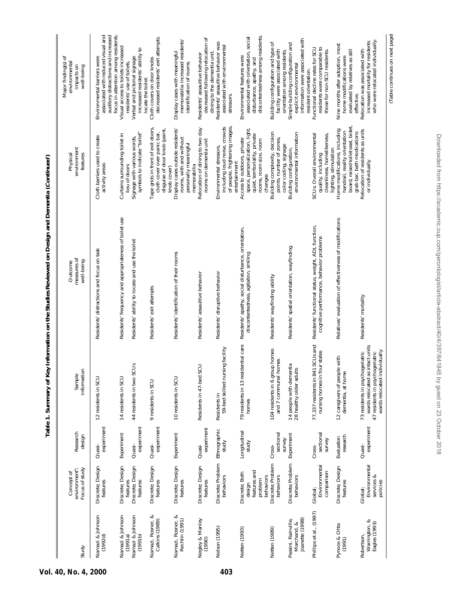**Vol. 40, No. 4, 2000 403 Table 1. Summary of Key Information on the Studies Reviewed on Design and Dementia (Continued )** Study Concept of environmenta; Focus of study Research design Sample information Outcome measures of well-being Physical environment features Major finding(s) of environmental impacts on well-being Namazi & Johnson (1992d) Discrete; Design features Quasi- experiment 12 residents in SCU Residents' distractions and focus on task Cloth barriers used to create activity areas Environmental barriers were associated with reduced visual and auditory distractions and increased focus in attention among residents. Namazi & Johnson (1991a) Discrete; Design features Experiment 14 residents in SCU Residents' frequency and appropriateness of toilet use Curtains surrounding toilet in lieu of doors Visual access to toilets increased residents' use of toilets. Namazi & Johnson (1991b) Discrete; Design features Quasi- experiment 44 residents in two SCUs Residents' ability to locate and use the toilet Signage with various words, symbols to indicate "toilet" Verbal and pictorial signage increased residents' ability to locate the toilet. Namazi, Rosner, & Calkins (1989) Discrete; Design features Quasi- experiment 9 residents in SCU Residents' exit attempts Tape grids in front of exit doors, cloth cover over panic bar, disguise of door knob (paint, knob cover) Cloth covers on door knobs decreased residents' exit attempts. Namazi, Rosner, & Rechlin (1991) Discrete; Design features Experiment 10 residents in SCU Residents' identification of their rooms Display cases outside residents' rooms, with and without personally meaningful memorabilia Display cases with meaningful memorabilia increased residents' identification of rooms. Negley & Manley (1990) Discrete; Design features Quasi- experiment Residents in 47-bed SCU Residents' assaultive behavior Relocation of dining to two day rooms on dementia unit Residents' assaultive behavior decreased following relocation of dining to the dementia unit. Nelson (1995) Discrete; Problem behaviors Ethnographic study Residents in 59-bed skilled nursing facility Residents' disruptive behavior Environmental stressors, including loud noise, crowds of people, frightening images, associated with orientation, social discontentedness among residents discontentedness among residents. associated with orientation, social information were associated with information were associated with increased mortality for residents who were relocated individually. Residents' assaultive behavior was increased mortality for residents who were relocated individually Building configuration and type of Building configuration and type of Simple building configuration and Simple building configuration and Nine months after adoption, most associated with environmental Nine months after adoption, most Functional decline rates for SCU residents were comparable to residents were comparable to Functional decline rates for SCU facility were associated with evaluated by relatives as still Relocation was associated with Relocation was associated with facility were associated with those for non-SCU residents. evaluated by relatives as still orientation among residents orientation among residents. those for non-SCU residents. Environmental features were Environmental features were home modifications were home modifications were disturbance, apathy, and disturbance, apathy, and explicit environmental explicit environmental resident orientation. resident orientation. effective. stressors. board, raised toilet seat, bidet, space, personalization, light, Home modifications, including Relatives' evaluation of effectiveness of modifications Home modifications, including board, raised toilet seat, bidet Relocation of residents as units Residents' mortality as units space, personalization, light, handrail, reality orientation Residents' wayfinding ability Building complexity, decision handrail, reality orientation changes<br>Building complexity, decision environmental information SCUs: Overall environmental SCUs: Overall environmental cleanliness, homelikeness, grab bar, bath modications quiet, territoriality, private quiet, territoriality, private cleanliness, homelikeness, grab bar, bath modications environmental information points, number of zones, Access to outdoors, private points, number of zones, Access to outdoors, private rooms, room size, room rooms, room size, room color coding, signage color coding, signage Residents' spatial orientation, wayfinding Building configuration, Building configuration, lighting, stimulation lighting, stimulation quality, including quality, including or individually entertainment or individually entertainment Relatives' evaluation of effectiveness of modifications Residents' functional status, weight, ADL function, 77,337 residents in 841 SCUs and Residents' functional status, weight, ADL function, Residents' apathy, social disturbance, orientation, 79 residents in 13 residential care Residents' apathy, social disturbance, orientation,<br>homes cognitive performance, behavior problems cognitive performance, behavior problems Residents' spatial orientation, wayfinding discontentedness, agitation, smiling Residents' wayfinding ability Residents' mortality 77,337 residents in 841 SCUs and 79 residents in 13 residential care wards relocated as intact units 104 residents in 6 group homes experiment 73 residents in psychogeriatric wards relocated as intact units 104 residents in 6 group homes nursing homes in four states 47 residents in psychogeriatric wards relocated individually 73 residents in psychogeriatric 47 residents in psychogeriatric wards relocated individually nursing homes in four states 12 caregivers of people with 12 caregivers of people with and 7 communal homes and 7 communal homes 14 people with dementia Experiment 14 people with dementia 28 healthy older adults 28 healthy older adults dementia, at home dementia, at home experiment Longitudinal Longitudinal sectional sectional sectional sectional Experiment research Evaluation **Evaluation** survey survey study Quasi-Cross-Cross-Discrete; Problem Netten (1989) Discrete; Problem Discrete; Problem Discrete; Problem Environmental Discrete; Design Environmental Environmental Discrete; Design Environmental features and Netten (1993) Discrete; Both features and comparison Discrete; Both comparison services & services & behaviors behaviors behaviors behaviors behaviors behaviors problem features policies design Global: Phillips et al., (1997) Global; Global; Phillips et al., (1997) Passini, Rainville, Joanette (1998) Passini, Rainville, Joanette (1998) Warrington, & Warrington, & Marchand, & Marchand, & Eagles (1993) Pynoos & Ohta Eagles (1993) Pynoos & Ohta Netten (1993) Netten (1989) Robertson, Robertson, (1991)

(Table continues on next page)

(Table continues on next page)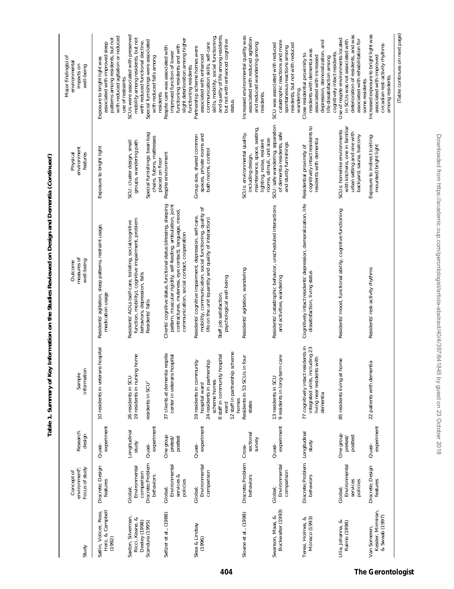| Study                                                  | Focus of study<br>environment <sup>a</sup> ;<br>Concept of | Research<br>design                | informatior<br>Sample                                                                                          | measures of<br>well-being<br>Outcome                                                                                                                                                                                                   | environment<br>features<br>Physical                                                                                                         | Major finding(s) of<br>environmental<br>impacts on<br>well-being                                                                                                                                |
|--------------------------------------------------------|------------------------------------------------------------|-----------------------------------|----------------------------------------------------------------------------------------------------------------|----------------------------------------------------------------------------------------------------------------------------------------------------------------------------------------------------------------------------------------|---------------------------------------------------------------------------------------------------------------------------------------------|-------------------------------------------------------------------------------------------------------------------------------------------------------------------------------------------------|
| Herz, & Campbell<br>Satlin, Volicer, Ross,<br>(1992)   | Discrete; Design<br>features                               | experiment<br>Quasi-              | 10 residents in veterans hospital                                                                              | Residents' agitation, sleep patterns, restraint usage,<br>medication usage                                                                                                                                                             | Exposure to bright light                                                                                                                    | with reduced agitation or reduced<br>patterns among residents, but not<br>associated with improved sleep<br>Exposure to bright light was<br>use of restraints.                                  |
| Saxton, Silverman,<br>Ricci, Keane, &<br>Deeley (1998) | Environmental<br>comparison<br>Global;                     | Longitudinal<br>study             | home<br>19 residents in nursing<br>26 residents in SCU                                                         | function, mobility), cognitive impairment, problem<br>Residents' ADLs (self-care, toileting, social/cognitive<br>behaviors, depression, falls                                                                                          | groups, wandering path<br>SCU: cluster design, small                                                                                        | SCUs were associated with preserved<br>mobility among residents, but not<br>with reduced functional decline.                                                                                    |
| Scandura (1995)                                        | Discrete; Problem<br>behaviors                             | experiment<br>Quasi-              | residents in SCU <sup>c</sup>                                                                                  | Residents' falls                                                                                                                                                                                                                       | Special furnishings: bean bag<br>chairs, futons, mattresses<br>placed on floor                                                              | Special furnishings were associated<br>with reduced falls among<br>residents.                                                                                                                   |
| Seltzer et al., (1988)                                 | Environmental<br>services &<br>policies<br>Global;         | One group<br>posttest<br>pretest/ | respite<br>center in veterans hospital<br>37 clients at dementia                                               | Clients' cognitive status, functional status (dressing, sleeping<br>pattern, muscular rigidity, self-feeding, ambulation, joint<br>contractures, muteness, eye contact), language, mood,<br>communication, social contact, cooperation | Respite environment                                                                                                                         | slight deterioration among higher<br>functioning residents and with<br>Respite care was associated with<br>improved function of lower<br>functioning residents.                                 |
| Skea & Lindsay<br>(1996)                               | Environmental<br>comparison<br>Global:                     | experiment<br>Quasi-              | 24 residents in partnership<br>19 residents in community<br>scheme homes<br>hospital ward                      | ৳<br>mobility, communication, social functioning, quality<br>Residents' cognitive impairment, depression, self-care,<br>life on the unit (quantity and quality of interaction)                                                         | spaces, private rooms and<br>Group size, shared common<br>bath rooms, control                                                               | skills, mobility, social functioning<br>communication skills, self-care<br>Partnership scheme homes were<br>associated with enhanced                                                            |
|                                                        |                                                            |                                   | scheme<br>8 staff in community hospital<br>12 staff in partnership<br>homes<br>ward                            | psychological well-being<br>Staff job satisfaction,                                                                                                                                                                                    |                                                                                                                                             | and quality of life among residents,<br>but not with enhanced cognitive<br>status.                                                                                                              |
| Sloane et al., (1998)                                  | Discrete; Problem<br>behaviors                             | sectional<br>survey<br>Cross-     | in four<br>Residents in 53 SCUs<br>states                                                                      | Residents' agitation, wandering                                                                                                                                                                                                        | maintenance, space, seating,<br>SCUs: environmental quality,<br>rooms, stimuli, unit size<br>lighting, noise, resident<br>including design, | Increased environmental quality was<br>associated with reduced agitation<br>and reduced wandering among<br>residents.                                                                           |
| Buckwalter (1993)<br>Swanson, Maas, &                  | Environmental<br>comparison<br>Global;                     | experiment<br>Quasi-              | m care<br>9 residents in long-ten<br>13 residents in SCU                                                       | Residents' catastrophic behavior, unscheduled interactions<br>and activities, wandering                                                                                                                                                | SCU: safe wandering, separation<br>of dementia residents, safe<br>and sturdy furnishings                                                    | catastrophic reactions and more<br>SCU was associated with reduced<br>residents, but not with reduced<br>spontaneous reactions among<br>wandering.                                              |
| Teresi, Holmes, &<br>Monaco (1993)                     | Discrete; Problem Longitudinal<br>behaviors                | study                             | 77 cognitively intact residents in<br>integrated units, including 23<br>living near residents with<br>dementia | Cognitively intact residents' depression, demoralization, life<br>dissatisfaction, living status                                                                                                                                       | cognitively intact residents to<br>residents with dementia<br>Residential proximity of                                                      | and<br>residents with dementia was<br>depression, demoralization,<br>cognitively intact residents.<br>Close residential proximity to<br>associated with increased<br>life dissatisfaction among |
| Ulla, Johanna, &<br>Raimo (1998)                       | Environmental<br>services<br>policies<br>Global;           | One group<br>pretest/<br>posttest | 85 residents living at home                                                                                    | Residents' mood, functional ability, cognitive functioning                                                                                                                                                                             | with kitchens, one in familiar<br>SCUs: homelike environments<br>urban setting and one with<br>backyard, sauna, balcony                     | deterioration of residents, and was<br>Use of respite environments located<br>in SCUs was not associated with<br>associated with rehabilitation for<br>some residents.                          |
| Kessler, Mirmiran,<br>& Swaab (1997)<br>Van Someren,   | Discrete; Design<br>features                               | experiment<br>Quasi-              | 22 patients with dementia                                                                                      | Residents' rest-activity rhythms                                                                                                                                                                                                       | Exposure to indirect (ceiling-<br>mounted) bright light                                                                                     | Increased exposure to bright light was<br>circadian rest-activity rhythms<br>associated with improved<br>among residents.                                                                       |

Table 1. Summary of Key Information on the Studies Reviewed on Design and Dementia (Continued) **Table 1. Summary of Key Information on the Studies Reviewed on Design and Dementia (Continued )**

(Table continues on next page)

(Table continues on next page)

Downloaded from https://academic.oup.com/gerontologist/article-abstract/40/4/397/641845 by guest on 23 October 2018

Downloaded from https://academic.oup.com/gerontologist/article-abstract/40/4/397/641845 by guest on 23 October 2018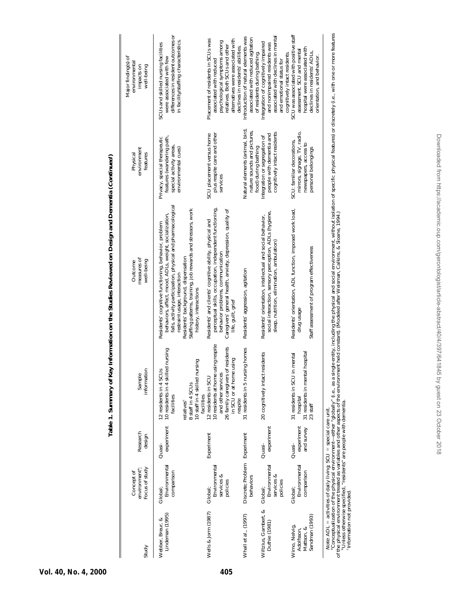| Vol. 40, No. 4, 2000 |                                                             |                                                                  |                                    |                                                                                                                                                                              | Table 1. Summary of Key Information on the Studies Reviewed on Design and Dementia (Continued)                                                                                                                                                                                                                                              |                                                                                                             |                                                                                                                                                                                                           |
|----------------------|-------------------------------------------------------------|------------------------------------------------------------------|------------------------------------|------------------------------------------------------------------------------------------------------------------------------------------------------------------------------|---------------------------------------------------------------------------------------------------------------------------------------------------------------------------------------------------------------------------------------------------------------------------------------------------------------------------------------------|-------------------------------------------------------------------------------------------------------------|-----------------------------------------------------------------------------------------------------------------------------------------------------------------------------------------------------------|
|                      | Study                                                       | Focus of study<br>environment <sup>a</sup><br>Concept of         | Research<br>design                 | information<br>Sample                                                                                                                                                        | measures of<br>well-being<br>Outcome                                                                                                                                                                                                                                                                                                        | environment<br>Physical<br>features                                                                         | Major finding(s) of<br>environmental<br>impacts on<br>well-being                                                                                                                                          |
|                      | Lindeman (1995)<br>Webber, Breur, &                         | Environmental<br>comparison<br>Global;                           | experiment<br>Quasi-               | 10 residents in 4 skilled nursing<br>rsing<br>12 residents in 4 SCUs<br>10 staff in 4 skilled nur<br>8 staff in 4 SCUs<br>facilities<br>facilities<br>relatives <sup>c</sup> | falls, activity participation, physical and pharmacological<br>Staffing patterns, training, job rewards and stressors, work<br>behaviors, affect, mood, ADLs, weight, socialization,<br>Residents' cognitive functioning, behavior, problem<br>Residents' background, dispensation<br>restraint usage, interaction<br>history, interactions | features (wandering path,<br>Privacy, special therapeutic<br>special activity areas,<br>environmental cues) | differences in resident outcomes or<br>in facility/staffing characteristics.<br>SCUs and skilled nursing facilities<br>were associated with few                                                           |
| 405                  | Wells & Jorm (1987)                                         | Environmental<br>services &<br>policies<br>Global;               | Experiment                         | 10 residents at home using respite<br>26 family caregivers of residents<br>using<br>in SCU or at home<br>and other services<br>12 residents in SCU<br>respite                | perceptual skills, occupation, independent functioning,<br>Caregivers' general health, anxiety, depression, quality of<br>Residents' and clients' cognitive ability, physical and<br>behavior problems, communication<br>life, guilt, grief                                                                                                 | plus respite care and other<br>SCU placement versus home<br>services                                        | Placement of residents in SCUs was<br>alternatives were associated with<br>psychological symptoms among<br>relatives. Both SCUs and other<br>declines in residents' abilities.<br>associated with reduced |
|                      | Whall et al., (1997)                                        | Discrete; Problem<br>behaviors                                   | Experiment                         | 31 residents in 5 nursing homes                                                                                                                                              | Residents' aggression, agitation                                                                                                                                                                                                                                                                                                            | Natural elements (animal, bird,<br>nature sounds and pictures,<br>food) during bathing                      | Introduction of natural elements was<br>associated with reduced agitation<br>of residents during bathing.                                                                                                 |
|                      | Wiltzius, Gambert, &<br>Duthie (1981)                       | Environmental<br>services &<br>policies<br>Global;               | experiment<br>Quasi-               | 20 cognitively intact residents                                                                                                                                              | social interaction, sensory perception, ADLs (hygiene,<br>Residents' orientation, intellectual and social behavior,<br>sleep, nutrition, elimination, ambulation)                                                                                                                                                                           | cognitively intact residents<br>people with dementia and<br>Integration or segregation of                   | associated with declines in mental<br>Integration of cognitively impaired<br>and nonimpaired residents was<br>cognitively intact residents.<br>and emotional status for                                   |
|                      | Sandman (1993)<br>Wimo, Nelvig,<br>Mattson, &<br>Adolfsson, | Environmental<br>comparison<br>Global;                           | experiment<br>and survey<br>Quasi- | hospital<br>mental<br>31 residents in SCU in<br>31 residents in mental<br>hospital<br>23 staff                                                                               | Residents' orientation, ADL function, imposed work load,<br>Staff assessment of program effectiveness<br>qung usage                                                                                                                                                                                                                         | mirrors, signage, TV, radio,<br>SCU: familiar decorations,<br>newspapers, access to<br>personal belongings  | SCU was associated with positive staff<br>hospital were associated with<br>assessment. SCU and mental<br>declines in residents' ADLS,<br>orientation, and behavior                                        |
|                      |                                                             | Note: ADL = activities of daily living; SCU = special care unit. |                                    |                                                                                                                                                                              |                                                                                                                                                                                                                                                                                                                                             |                                                                                                             |                                                                                                                                                                                                           |

"Conceptualization of the physical environment—either "globally" (i.e., as a single entity, including the physical and social environment, without isolation of specific physical features) or discretely (i.e., with one or of the physical environment treated as variables and other aspects of the environment held constant). (Modeled after Weisman, Calkins, & Sloane, 1994.)<br><sup>b</sup>Unless otherwise specified, "residents" are people with dementia. , vuce Au – acuvues or uany nving, sou – special care unit.<br>"Conceptualization of the physical environment—either "globally" (i.e., as a single entity, including the physical and social environment, without isolation of sp

Information not provided.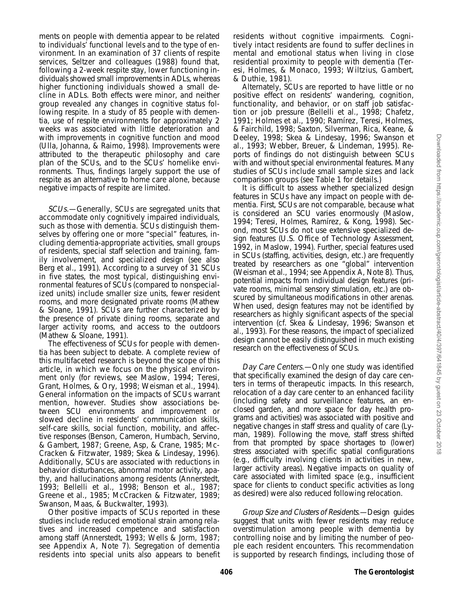ments on people with dementia appear to be related to individuals' functional levels and to the type of environment. In an examination of 37 clients of respite services, Seltzer and colleagues (1988) found that, following a 2-week respite stay, lower functioning individuals showed small improvements in ADLs, whereas higher functioning individuals showed a small decline in ADLs. Both effects were minor, and neither group revealed any changes in cognitive status following respite. In a study of 85 people with dementia, use of respite environments for approximately 2 weeks was associated with little deterioration and with improvements in cognitive function and mood (Ulla, Johanna, & Raimo, 1998). Improvements were attributed to the therapeutic philosophy and care plan of the SCUs, and to the SCUs' homelike environments. Thus, findings largely support the use of respite as an alternative to home care alone, because negative impacts of respite are limited.

SCUs.—Generally, SCUs are segregated units that accommodate only cognitively impaired individuals, such as those with dementia. SCUs distinguish themselves by offering one or more "special" features, including dementia-appropriate activities, small groups of residents, special staff selection and training, family involvement, and specialized design (see also Berg et al., 1991). According to a survey of 31 SCUs in five states, the most typical, distinguishing environmental features of SCUs (compared to nonspecialized units) include smaller size units, fewer resident rooms, and more designated private rooms (Mathew & Sloane, 1991). SCUs are further characterized by the presence of private dining rooms, separate and larger activity rooms, and access to the outdoors (Mathew & Sloane, 1991).

The effectiveness of SCUs for people with dementia has been subject to debate. A complete review of this multifaceted research is beyond the scope of this article, in which we focus on the physical environment only (for reviews, see Maslow, 1994; Teresi, Grant, Holmes, & Ory, 1998; Weisman et al., 1994). General information on the impacts of SCUs warrant mention, however. Studies show associations between SCU environments and improvement or slowed decline in residents' communication skills, self-care skills, social function, mobility, and affective responses (Benson, Cameron, Humbach, Servino, & Gambert, 1987; Greene, Asp, & Crane, 1985; Mc-Cracken & Fitzwater, 1989; Skea & Lindesay, 1996). Additionally, SCUs are associated with reductions in behavior disturbances, abnormal motor activity, apathy, and hallucinations among residents (Annerstedt, 1993; Bellelli et al., 1998; Benson et al., 1987; Greene et al., 1985; McCracken & Fitzwater, 1989; Swanson, Maas, & Buckwalter, 1993).

Other positive impacts of SCUs reported in these studies include reduced emotional strain among relatives and increased competence and satisfaction among staff (Annerstedt, 1993; Wells & Jorm, 1987; see Appendix A, Note 7). Segregation of dementia residents into special units also appears to benefit

residents without cognitive impairments. Cognitively intact residents are found to suffer declines in mental and emotional status when living in close residential proximity to people with dementia (Teresi, Holmes, & Monaco, 1993; Wiltzius, Gambert, & Duthie, 1981).

Alternately, SCUs are reported to have little or no positive effect on residents' wandering, cognition, functionality, and behavior, or on staff job satisfaction or job pressure (Bellelli et al., 1998; Chafetz, 1991; Holmes et al., 1990; Ramírez, Teresi, Holmes, & Fairchild, 1998; Saxton, Silverman, Rica, Keane, & Deeley, 1998; Skea & Lindesay, 1996; Swanson et al., 1993; Webber, Breuer, & Lindeman, 1995). Reports of findings do not distinguish between SCUs with and without special environmental features. Many studies of SCUs include small sample sizes and lack comparison groups (see Table 1 for details.)

It is difficult to assess whether specialized design features in SCUs have any impact on people with dementia. First, SCUs are not comparable, because what is considered an SCU varies enormously (Maslow, 1994; Teresi, Holmes, Ramírez, & Kong, 1998). Second, most SCUs do not use extensive specialized design features (U.S. Office of Technology Assessment, 1992, in Maslow, 1994). Further, special features used in SCUs (staffing, activities, design, etc.) are frequently treated by researchers as one "global" intervention (Weisman et al., 1994; see Appendix A, Note 8). Thus, potential impacts from individual design features (private rooms, minimal sensory stimulation, etc.) are obscured by simultaneous modifications in other arenas. When used, design features may not be identified by researchers as highly significant aspects of the special intervention (cf. Skea & Lindesay, 1996; Swanson et al., 1993). For these reasons, the impact of specialized design cannot be easily distinguished in much existing research on the effectiveness of SCUs.

Day Care Centers.—Only one study was identified that specifically examined the design of day care centers in terms of therapeutic impacts. In this research, relocation of a day care center to an enhanced facility (including safety and surveillance features, an enclosed garden, and more space for day health programs and activities) was associated with positive and negative changes in staff stress and quality of care (Lyman, 1989). Following the move, staff stress shifted from that prompted by space shortages to (lower) stress associated with specific spatial configurations (e.g., difficulty involving clients in activities in new, larger activity areas). Negative impacts on quality of care associated with limited space (e.g., insufficient space for clients to conduct specific activities as long as desired) were also reduced following relocation.

Group Size and Clusters of Residents.—Design guides suggest that units with fewer residents may reduce overstimulation among people with dementia by controlling noise and by limiting the number of people each resident encounters. This recommendation is supported by research findings, including those of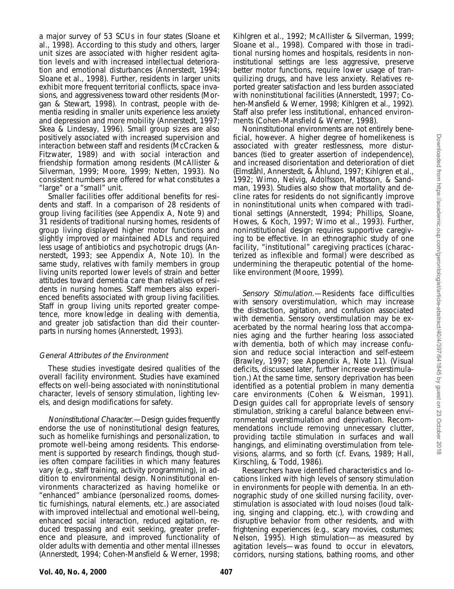a major survey of 53 SCUs in four states (Sloane et al., 1998). According to this study and others, larger unit sizes are associated with higher resident agitation levels and with increased intellectual deterioration and emotional disturbances (Annerstedt, 1994; Sloane et al., 1998). Further, residents in larger units exhibit more frequent territorial conflicts, space invasions, and aggressiveness toward other residents (Morgan & Stewart, 1998). In contrast, people with dementia residing in smaller units experience less anxiety and depression and more mobility (Annerstedt, 1997; Skea & Lindesay, 1996). Small group sizes are also positively associated with increased supervision and interaction between staff and residents (McCracken & Fitzwater, 1989) and with social interaction and friendship formation among residents (McAllister & Silverman, 1999; Moore, 1999; Netten, 1993). No consistent numbers are offered for what constitutes a "large" or a "small" unit.

Smaller facilities offer additional benefits for residents and staff. In a comparison of 28 residents of group living facilities (see Appendix A, Note 9) and 31 residents of traditional nursing homes, residents of group living displayed higher motor functions and slightly improved or maintained ADLs and required less usage of antibiotics and psychotropic drugs (Annerstedt, 1993; see Appendix A, Note 10). In the same study, relatives with family members in group living units reported lower levels of strain and better attitudes toward dementia care than relatives of residents in nursing homes. Staff members also experienced benefits associated with group living facilities. Staff in group living units reported greater competence, more knowledge in dealing with dementia, and greater job satisfaction than did their counterparts in nursing homes (Annerstedt, 1993).

### General Attributes of the Environment

These studies investigate desired qualities of the overall facility environment. Studies have examined effects on well-being associated with noninstitutional character, levels of sensory stimulation, lighting levels, and design modifications for safety.

Noninstitutional Character.—Design guides frequently endorse the use of noninstitutional design features, such as homelike furnishings and personalization, to promote well-being among residents. This endorsement is supported by research findings, though studies often compare facilities in which many features vary (e.g., staff training, activity programming), in addition to environmental design. Noninstitutional environments characterized as having homelike or "enhanced" ambiance (personalized rooms, domestic furnishings, natural elements, etc.) are associated with improved intellectual and emotional well-being, enhanced social interaction, reduced agitation, reduced trespassing and exit seeking, greater preference and pleasure, and improved functionality of older adults with dementia and other mental illnesses (Annerstedt, 1994; Cohen-Mansfield & Werner, 1998;

Kihlgren et al., 1992; McAllister & Silverman, 1999; Sloane et al., 1998). Compared with those in traditional nursing homes and hospitals, residents in noninstitutional settings are less aggressive, preserve better motor functions, require lower usage of tranquilizing drugs, and have less anxiety. Relatives reported greater satisfaction and less burden associated with noninstitutional facilities (Annerstedt, 1997; Cohen-Mansfield & Werner, 1998; Kihlgren et al., 1992). Staff also prefer less institutional, enhanced environments (Cohen-Mansfield & Werner, 1998).

Noninstitutional environments are not entirely beneficial, however. A higher degree of homelikeness is associated with greater restlessness, more disturbances (tied to greater assertion of independence), and increased disorientation and deterioration of diet (Elmståhl, Annerstedt, & Åhlund, 1997; Kihlgren et al., 1992; Wimo, Nelvig, Adolfsson, Mattsson, & Sandman, 1993). Studies also show that mortality and decline rates for residents do not significantly improve in noninstitutional units when compared with traditional settings (Annerstedt, 1994; Phillips, Sloane, Howes, & Koch, 1997; Wimo et al., 1993). Further, noninstitutional design requires supportive caregiving to be effective. In an ethnographic study of one facility, "institutional" caregiving practices (characterized as inflexible and formal) were described as undermining the therapeutic potential of the homelike environment (Moore, 1999).

Sensory Stimulation.—Residents face difficulties with sensory overstimulation, which may increase the distraction, agitation, and confusion associated with dementia. Sensory overstimulation may be exacerbated by the normal hearing loss that accompanies aging and the further hearing loss associated with dementia, both of which may increase confusion and reduce social interaction and self-esteem (Brawley, 1997; see Appendix A, Note 11). (Visual deficits, discussed later, further increase overstimulation.) At the same time, sensory deprivation has been identified as a potential problem in many dementia care environments (Cohen & Weisman, 1991). Design guides call for appropriate levels of sensory stimulation, striking a careful balance between environmental overstimulation and deprivation. Recommendations include removing unnecessary clutter, providing tactile stimulation in surfaces and wall hangings, and eliminating overstimulation from televisions, alarms, and so forth (cf. Evans, 1989; Hall, Kirschling, & Todd, 1986).

Researchers have identified characteristics and locations linked with high levels of sensory stimulation in environments for people with dementia. In an ethnographic study of one skilled nursing facility, overstimulation is associated with loud noises (loud talking, singing and clapping, etc.), with crowding and disruptive behavior from other residents, and with frightening experiences (e.g., scary movies, costumes; Nelson, 1995). High stimulation—as measured by agitation levels—was found to occur in elevators, corridors, nursing stations, bathing rooms, and other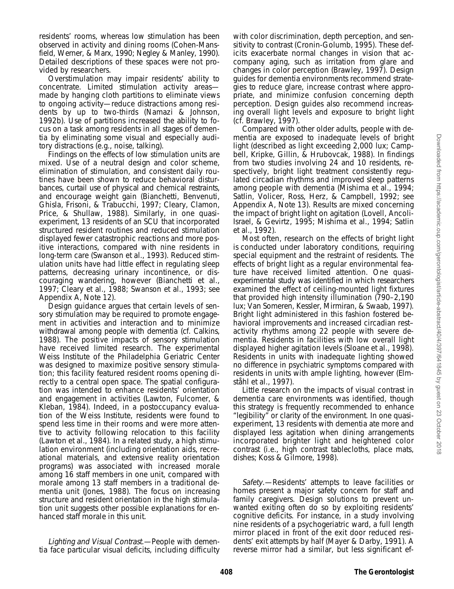residents' rooms, whereas low stimulation has been observed in activity and dining rooms (Cohen-Mansfield, Werner, & Marx, 1990; Negley & Manley, 1990). Detailed descriptions of these spaces were not provided by researchers.

Overstimulation may impair residents' ability to concentrate. Limited stimulation activity areas made by hanging cloth partitions to eliminate views to ongoing activity—reduce distractions among residents by up to two-thirds (Namazi & Johnson, 1992b). Use of partitions increased the ability to focus on a task among residents in all stages of dementia by eliminating some visual and especially auditory distractions (e.g., noise, talking).

Findings on the effects of low stimulation units are mixed. Use of a neutral design and color scheme, elimination of stimulation, and consistent daily routines have been shown to reduce behavioral disturbances, curtail use of physical and chemical restraints, and encourage weight gain (Bianchetti, Benvenuti, Ghisla, Frisoni, & Trabucchi, 1997; Cleary, Clamon, Price, & Shullaw, 1988). Similarly, in one quasiexperiment, 13 residents of an SCU that incorporated structured resident routines and reduced stimulation displayed fewer catastrophic reactions and more positive interactions, compared with nine residents in long-term care (Swanson et al., 1993). Reduced stimulation units have had little effect in regulating sleep patterns, decreasing urinary incontinence, or discouraging wandering, however (Bianchetti et al., 1997; Cleary et al., 1988; Swanson et al., 1993; see Appendix A, Note 12).

Design guidance argues that certain levels of sensory stimulation may be required to promote engagement in activities and interaction and to minimize withdrawal among people with dementia (cf. Calkins, 1988). The positive impacts of sensory stimulation have received limited research. The experimental Weiss Institute of the Philadelphia Geriatric Center was designed to maximize positive sensory stimulation; this facility featured resident rooms opening directly to a central open space. The spatial configuration was intended to enhance residents' orientation and engagement in activities (Lawton, Fulcomer, & Kleban, 1984). Indeed, in a postoccupancy evaluation of the Weiss Institute, residents were found to spend less time in their rooms and were more attentive to activity following relocation to this facility (Lawton et al., 1984). In a related study, a high stimulation environment (including orientation aids, recreational materials, and extensive reality orientation programs) was associated with increased morale among 16 staff members in one unit, compared with morale among 13 staff members in a traditional dementia unit (Jones, 1988). The focus on increasing structure and resident orientation in the high stimulation unit suggests other possible explanations for enhanced staff morale in this unit.

Lighting and Visual Contrast.—People with dementia face particular visual deficits, including difficulty with color discrimination, depth perception, and sensitivity to contrast (Cronin-Golumb, 1995). These deficits exacerbate normal changes in vision that accompany aging, such as irritation from glare and changes in color perception (Brawley, 1997). Design guides for dementia environments recommend strategies to reduce glare, increase contrast where appropriate, and minimize confusion concerning depth perception. Design guides also recommend increasing overall light levels and exposure to bright light (cf. Brawley, 1997).

Compared with other older adults, people with dementia are exposed to inadequate levels of bright light (described as light exceeding 2,000 lux; Campbell, Kripke, Gillin, & Hrubovcak, 1988). In findings from two studies involving 24 and 10 residents, respectively, bright light treatment consistently regulated circadian rhythms and improved sleep patterns among people with dementia (Mishima et al., 1994; Satlin, Volicer, Ross, Herz, & Campbell, 1992; see Appendix A, Note 13). Results are mixed concerning the impact of bright light on agitation (Lovell, Ancoli-Israel, & Gevirtz, 1995; Mishima et al., 1994; Satlin et al., 1992).

Most often, research on the effects of bright light is conducted under laboratory conditions, requiring special equipment and the restraint of residents. The effects of bright light as a regular environmental feature have received limited attention. One quasiexperimental study was identified in which researchers examined the effect of ceiling-mounted light fixtures that provided high intensity illumination (790–2,190 lux; Van Someren, Kessler, Mirmiran, & Swaab, 1997). Bright light administered in this fashion fostered behavioral improvements and increased circadian rest– activity rhythms among 22 people with severe dementia. Residents in facilities with low overall light displayed higher agitation levels (Sloane et al., 1998). Residents in units with inadequate lighting showed no difference in psychiatric symptoms compared with residents in units with ample lighting, however (Elmståhl et al., 1997).

Little research on the impacts of visual contrast in dementia care environments was identified, though this strategy is frequently recommended to enhance "legibility" or clarity of the environment. In one quasiexperiment, 13 residents with dementia ate more and displayed less agitation when dining arrangements incorporated brighter light and heightened color contrast (i.e., high contrast tablecloths, place mats, dishes; Koss & Gilmore, 1998).

Safety.—Residents' attempts to leave facilities or homes present a major safety concern for staff and family caregivers. Design solutions to prevent unwanted exiting often do so by exploiting residents' cognitive deficits. For instance, in a study involving nine residents of a psychogeriatric ward, a full length mirror placed in front of the exit door reduced residents' exit attempts by half (Mayer & Darby, 1991). A reverse mirror had a similar, but less significant ef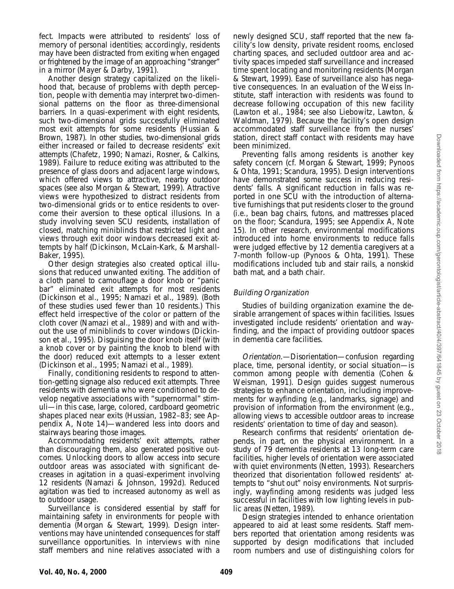fect. Impacts were attributed to residents' loss of memory of personal identities; accordingly, residents may have been distracted from exiting when engaged or frightened by the image of an approaching "stranger" in a mirror (Mayer & Darby, 1991).

Another design strategy capitalized on the likelihood that, because of problems with depth perception, people with dementia may interpret two-dimensional patterns on the floor as three-dimensional barriers. In a quasi-experiment with eight residents, such two-dimensional grids successfully eliminated most exit attempts for some residents (Hussian & Brown, 1987). In other studies, two-dimensional grids either increased or failed to decrease residents' exit attempts (Chafetz, 1990; Namazi, Rosner, & Calkins, 1989). Failure to reduce exiting was attributed to the presence of glass doors and adjacent large windows, which offered views to attractive, nearby outdoor spaces (see also Morgan & Stewart, 1999). Attractive views were hypothesized to distract residents from two-dimensional grids or to entice residents to overcome their aversion to these optical illusions. In a study involving seven SCU residents, installation of closed, matching miniblinds that restricted light and views through exit door windows decreased exit attempts by half (Dickinson, McLain-Kark, & Marshall-Baker, 1995).

Other design strategies also created optical illusions that reduced unwanted exiting. The addition of a cloth panel to camouflage a door knob or "panic bar" eliminated exit attempts for most residents (Dickinson et al., 1995; Namazi et al., 1989). (Both of these studies used fewer than 10 residents.) This effect held irrespective of the color or pattern of the cloth cover (Namazi et al., 1989) and with and without the use of miniblinds to cover windows (Dickinson et al., 1995). Disguising the door knob itself (with a knob cover or by painting the knob to blend with the door) reduced exit attempts to a lesser extent (Dickinson et al., 1995; Namazi et al., 1989).

Finally, conditioning residents to respond to attention-getting signage also reduced exit attempts. Three residents with dementia who were conditioned to develop negative associations with "supernormal" stimuli—in this case, large, colored, cardboard geometric shapes placed near exits (Hussian, 1982–83; see Appendix A, Note 14)—wandered less into doors and stairways bearing those images.

Accommodating residents' exit attempts, rather than discouraging them, also generated positive outcomes. Unlocking doors to allow access into secure outdoor areas was associated with significant decreases in agitation in a quasi-experiment involving 12 residents (Namazi & Johnson, 1992d). Reduced agitation was tied to increased autonomy as well as to outdoor usage.

Surveillance is considered essential by staff for maintaining safety in environments for people with dementia (Morgan & Stewart, 1999). Design interventions may have unintended consequences for staff surveillance opportunities. In interviews with nine staff members and nine relatives associated with a

newly designed SCU, staff reported that the new facility's low density, private resident rooms, enclosed charting spaces, and secluded outdoor area and activity spaces impeded staff surveillance and increased time spent locating and monitoring residents (Morgan & Stewart, 1999). Ease of surveillance also has negative consequences. In an evaluation of the Weiss Institute, staff interaction with residents was found to decrease following occupation of this new facility (Lawton et al., 1984; see also Liebowitz, Lawton, & Waldman, 1979). Because the facility's open design accommodated staff surveillance from the nurses' station, direct staff contact with residents may have been minimized.

Preventing falls among residents is another key safety concern (cf. Morgan & Stewart, 1999; Pynoos & Ohta, 1991; Scandura, 1995). Design interventions have demonstrated some success in reducing residents' falls. A significant reduction in falls was reported in one SCU with the introduction of alternative furnishings that put residents closer to the ground (i.e., bean bag chairs, futons, and mattresses placed on the floor; Scandura, 1995; see Appendix A, Note 15). In other research, environmental modifications introduced into home environments to reduce falls were judged effective by 12 dementia caregivers at a 7-month follow-up (Pynoos & Ohta, 1991). These modifications included tub and stair rails, a nonskid bath mat, and a bath chair.

### Building Organization

Studies of building organization examine the desirable arrangement of spaces within facilities. Issues investigated include residents' orientation and wayfinding, and the impact of providing outdoor spaces in dementia care facilities.

Orientation.—Disorientation—confusion regarding place, time, personal identity, or social situation—is common among people with dementia (Cohen & Weisman, 1991). Design guides suggest numerous strategies to enhance orientation, including improvements for wayfinding (e.g., landmarks, signage) and provision of information from the environment (e.g., allowing views to accessible outdoor areas to increase residents' orientation to time of day and season).

Research confirms that residents' orientation depends, in part, on the physical environment. In a study of 79 dementia residents at 13 long-term care facilities, higher levels of orientation were associated with quiet environments (Netten, 1993). Researchers theorized that disorientation followed residents' attempts to "shut out" noisy environments. Not surprisingly, wayfinding among residents was judged less successful in facilities with low lighting levels in public areas (Netten, 1989).

Design strategies intended to enhance orientation appeared to aid at least some residents. Staff members reported that orientation among residents was supported by design modifications that included room numbers and use of distinguishing colors for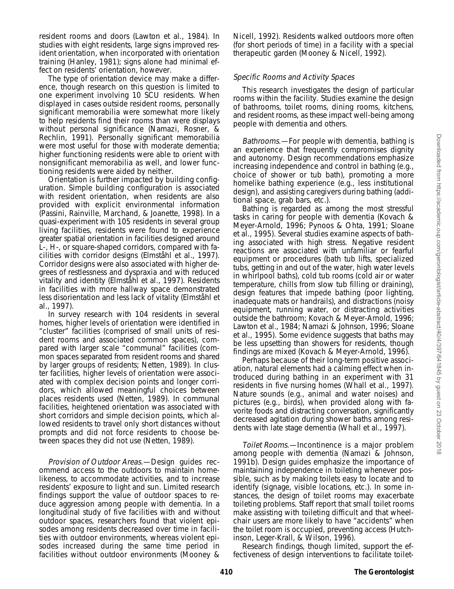resident rooms and doors (Lawton et al., 1984). In studies with eight residents, large signs improved resident orientation, when incorporated with orientation training (Hanley, 1981); signs alone had minimal effect on residents' orientation, however.

The type of orientation device may make a difference, though research on this question is limited to one experiment involving 10 SCU residents. When displayed in cases outside resident rooms, personally significant memorabilia were somewhat more likely to help residents find their rooms than were displays without personal significance (Namazi, Rosner, & Rechlin, 1991). Personally significant memorabilia were most useful for those with moderate dementia; higher functioning residents were able to orient with nonsignificant memorabilia as well, and lower functioning residents were aided by neither.

Orientation is further impacted by building configuration. Simple building configuration is associated with resident orientation, when residents are also provided with explicit environmental information (Passini, Rainville, Marchand, & Joanette, 1998). In a quasi-experiment with 105 residents in several group living facilities, residents were found to experience greater spatial orientation in facilities designed around L-, H-, or square-shaped corridors, compared with facilities with corridor designs (Elmståhl et al., 1997). Corridor designs were also associated with higher degrees of restlessness and dyspraxia and with reduced vitality and identity (Elmståhl et al., 1997). Residents in facilities with more hallway space demonstrated less disorientation and less lack of vitality (Elmståhl et al., 1997).

In survey research with 104 residents in several homes, higher levels of orientation were identified in "cluster" facilities (comprised of small units of resident rooms and associated common spaces), compared with larger scale "communal" facilities (common spaces separated from resident rooms and shared by larger groups of residents; Netten, 1989). In cluster facilities, higher levels of orientation were associated with complex decision points and longer corridors, which allowed meaningful choices between places residents used (Netten, 1989). In communal facilities, heightened orientation was associated with short corridors and simple decision points, which allowed residents to travel only short distances without prompts and did not force residents to choose between spaces they did not use (Netten, 1989).

Provision of Outdoor Areas.—Design guides recommend access to the outdoors to maintain homelikeness, to accommodate activities, and to increase residents' exposure to light and sun. Limited research findings support the value of outdoor spaces to reduce aggression among people with dementia. In a longitudinal study of five facilities with and without outdoor spaces, researchers found that violent episodes among residents decreased over time in facilities with outdoor environments, whereas violent episodes increased during the same time period in facilities without outdoor environments (Mooney &

Nicell, 1992). Residents walked outdoors more often (for short periods of time) in a facility with a special therapeutic garden (Mooney & Nicell, 1992).

### Specific Rooms and Activity Spaces

This research investigates the design of particular rooms within the facility. Studies examine the design of bathrooms, toilet rooms, dining rooms, kitchens, and resident rooms, as these impact well-being among people with dementia and others.

Bathrooms.—For people with dementia, bathing is an experience that frequently compromises dignity and autonomy. Design recommendations emphasize increasing independence and control in bathing (e.g., choice of shower or tub bath), promoting a more homelike bathing experience (e.g., less institutional design), and assisting caregivers during bathing (additional space, grab bars, etc.).

Bathing is regarded as among the most stressful tasks in caring for people with dementia (Kovach & Meyer-Arnold, 1996; Pynoos & Ohta, 1991; Sloane et al., 1995). Several studies examine aspects of bathing associated with high stress. Negative resident reactions are associated with unfamiliar or fearful equipment or procedures (bath tub lifts, specialized tubs, getting in and out of the water, high water levels in whirlpool baths), cold tub rooms (cold air or water temperature, chills from slow tub filling or draining), design features that impede bathing (poor lighting, inadequate mats or handrails), and distractions (noisy equipment, running water, or distracting activities outside the bathroom; Kovach & Meyer-Arnold, 1996; Lawton et al., 1984; Namazi & Johnson, 1996; Sloane et al., 1995). Some evidence suggests that baths may be less upsetting than showers for residents, though findings are mixed (Kovach & Meyer-Arnold, 1996).

Perhaps because of their long-term positive association, natural elements had a calming effect when introduced during bathing in an experiment with 31 residents in five nursing homes (Whall et al., 1997). Nature sounds (e.g., animal and water noises) and pictures (e.g., birds), when provided along with favorite foods and distracting conversation, significantly decreased agitation during shower baths among residents with late stage dementia (Whall et al., 1997).

Toilet Rooms.—Incontinence is a major problem among people with dementia (Namazi & Johnson, 1991b). Design guides emphasize the importance of maintaining independence in toileting whenever possible, such as by making toilets easy to locate and to identify (signage, visible locations, etc.). In some instances, the design of toilet rooms may exacerbate toileting problems. Staff report that small toilet rooms make assisting with toileting difficult and that wheelchair users are more likely to have "accidents" when the toilet room is occupied, preventing access (Hutchinson, Leger-Krall, & Wilson, 1996).

Research findings, though limited, support the effectiveness of design interventions to facilitate toilet-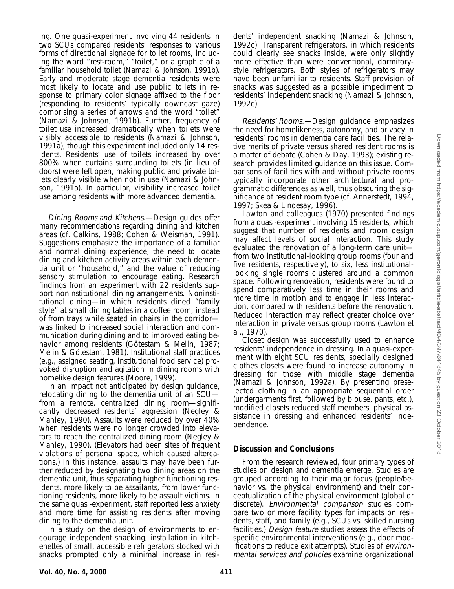ing. One quasi-experiment involving 44 residents in two SCUs compared residents' responses to various forms of directional signage for toilet rooms, including the word "rest-room," "toilet," or a graphic of a familiar household toilet (Namazi & Johnson, 1991b). Early and moderate stage dementia residents were most likely to locate and use public toilets in response to primary color signage affixed to the floor (responding to residents' typically downcast gaze) comprising a series of arrows and the word "toilet" (Namazi & Johnson, 1991b). Further, frequency of toilet use increased dramatically when toilets were visibly accessible to residents (Namazi & Johnson, 1991a), though this experiment included only 14 residents. Residents' use of toilets increased by over 800% when curtains surrounding toilets (in lieu of doors) were left open, making public and private toilets clearly visible when not in use (Namazi & Johnson, 1991a). In particular, visibility increased toilet use among residents with more advanced dementia.

Dining Rooms and Kitchens.—Design guides offer many recommendations regarding dining and kitchen areas (cf. Calkins, 1988; Cohen & Weisman, 1991). Suggestions emphasize the importance of a familiar and normal dining experience, the need to locate dining and kitchen activity areas within each dementia unit or "household," and the value of reducing sensory stimulation to encourage eating. Research findings from an experiment with 22 residents support noninstitutional dining arrangements. Noninstitutional dining—in which residents dined "family style" at small dining tables in a coffee room, instead of from trays while seated in chairs in the corridor was linked to increased social interaction and communication during dining and to improved eating behavior among residents (Götestam & Melin, 1987; Melin & Götestam, 1981). Institutional staff practices (e.g., assigned seating, institutional food service) provoked disruption and agitation in dining rooms with homelike design features (Moore, 1999).

In an impact not anticipated by design guidance, relocating dining to the dementia unit of an SCU from a remote, centralized dining room—significantly decreased residents' aggression (Negley & Manley, 1990). Assaults were reduced by over 40% when residents were no longer crowded into elevators to reach the centralized dining room (Negley & Manley, 1990). (Elevators had been sites of frequent violations of personal space, which caused altercations.) In this instance, assaults may have been further reduced by designating two dining areas on the dementia unit, thus separating higher functioning residents, more likely to be assailants, from lower functioning residents, more likely to be assault victims. In the same quasi-experiment, staff reported less anxiety and more time for assisting residents after moving dining to the dementia unit.

In a study on the design of environments to encourage independent snacking, installation in kitchenettes of small, accessible refrigerators stocked with snacks prompted only a minimal increase in residents' independent snacking (Namazi & Johnson, 1992c). Transparent refrigerators, in which residents could clearly see snacks inside, were only slightly more effective than were conventional, dormitorystyle refrigerators. Both styles of refrigerators may have been unfamiliar to residents. Staff provision of snacks was suggested as a possible impediment to residents' independent snacking (Namazi & Johnson, 1992c).

Residents' Rooms.—Design guidance emphasizes the need for homelikeness, autonomy, and privacy in residents' rooms in dementia care facilities. The relative merits of private versus shared resident rooms is a matter of debate (Cohen & Day, 1993); existing research provides limited guidance on this issue. Comparisons of facilities with and without private rooms typically incorporate other architectural and programmatic differences as well, thus obscuring the significance of resident room type (cf. Annerstedt, 1994, 1997; Skea & Lindesay, 1996).

Lawton and colleagues (1970) presented findings from a quasi-experiment involving 15 residents, which suggest that number of residents and room design may affect levels of social interaction. This study evaluated the renovation of a long-term care unit from two institutional-looking group rooms (four and five residents, respectively), to six, less institutionallooking single rooms clustered around a common space. Following renovation, residents were found to spend comparatively less time in their rooms and more time in motion and to engage in less interaction, compared with residents before the renovation. Reduced interaction may reflect greater choice over interaction in private versus group rooms (Lawton et al., 1970).

Closet design was successfully used to enhance residents' independence in dressing. In a quasi-experiment with eight SCU residents, specially designed clothes closets were found to increase autonomy in dressing for those with middle stage dementia (Namazi & Johnson, 1992a). By presenting preselected clothing in an appropriate sequential order (undergarments first, followed by blouse, pants, etc.), modified closets reduced staff members' physical assistance in dressing and enhanced residents' independence.

### **Discussion and Conclusions**

From the research reviewed, four primary types of studies on design and dementia emerge. Studies are grouped according to their major focus (people/behavior vs. the physical environment) and their conceptualization of the physical environment (global or discrete). Environmental comparison studies compare two or more facility types for impacts on residents, staff, and family (e.g., SCUs vs. skilled nursing facilities.) Design feature studies assess the effects of specific environmental interventions (e.g., door modifications to reduce exit attempts). Studies of environmental services and policies examine organizational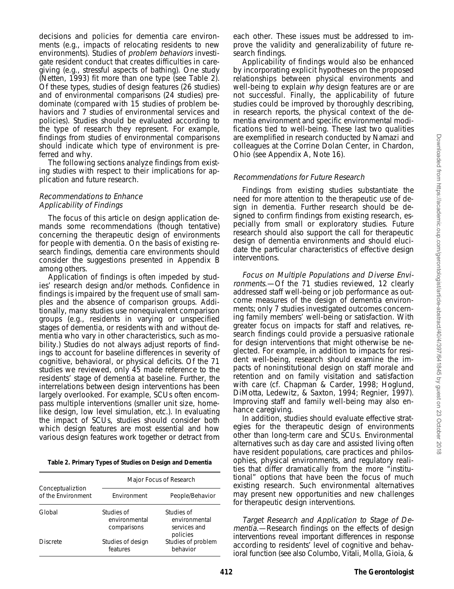decisions and policies for dementia care environments (e.g., impacts of relocating residents to new environments). Studies of *problem behaviors* investigate resident conduct that creates difficulties in caregiving (e.g., stressful aspects of bathing). One study (Netten, 1993) fit more than one type (see Table 2). Of these types, studies of design features (26 studies) and of environmental comparisons (24 studies) predominate (compared with 15 studies of problem behaviors and 7 studies of environmental services and policies). Studies should be evaluated according to the type of research they represent. For example, findings from studies of environmental comparisons should indicate which type of environment is preferred and why.

The following sections analyze findings from existing studies with respect to their implications for application and future research.

### Recommendations to Enhance Applicability of Findings

The focus of this article on design application demands some recommendations (though tentative) concerning the therapeutic design of environments for people with dementia. On the basis of existing research findings, dementia care environments should consider the suggestions presented in Appendix B among others.

Application of findings is often impeded by studies' research design and/or methods. Confidence in findings is impaired by the frequent use of small samples and the absence of comparison groups. Additionally, many studies use nonequivalent comparison groups (e.g., residents in varying or unspecified stages of dementia, or residents with and without dementia who vary in other characteristics, such as mobility.) Studies do not always adjust reports of findings to account for baseline differences in severity of cognitive, behavioral, or physical deficits. Of the 71 studies we reviewed, only 45 made reference to the residents' stage of dementia at baseline. Further, the interrelations between design interventions has been largely overlooked. For example, SCUs often encompass multiple interventions (smaller unit size, homelike design, low level simulation, etc.). In evaluating the impact of SCUs, studies should consider both which design features are most essential and how various design features work together or detract from

|  |  | Table 2. Primary Types of Studies on Design and Dementia |  |
|--|--|----------------------------------------------------------|--|
|--|--|----------------------------------------------------------|--|

|                                        |                                            | Major Focus of Research                                 |
|----------------------------------------|--------------------------------------------|---------------------------------------------------------|
| Conceptualiztion<br>of the Environment | Environment                                | People/Behavior                                         |
| Global                                 | Studies of<br>environmental<br>comparisons | Studies of<br>environmental<br>services and<br>policies |
| <b>Discrete</b>                        | Studies of design<br>features              | Studies of problem<br>behavior                          |

each other. These issues must be addressed to improve the validity and generalizability of future research findings.

Applicability of findings would also be enhanced by incorporating explicit hypotheses on the proposed relationships between physical environments and well-being to explain why design features are or are not successful. Finally, the applicability of future studies could be improved by thoroughly describing, in research reports, the physical context of the dementia environment and specific environmental modifications tied to well-being. These last two qualities are exemplified in research conducted by Namazi and colleagues at the Corrine Dolan Center, in Chardon, Ohio (see Appendix A, Note 16).

### Recommendations for Future Research

Findings from existing studies substantiate the need for more attention to the therapeutic use of design in dementia. Further research should be designed to confirm findings from existing research, especially from small or exploratory studies. Future research should also support the call for therapeutic design of dementia environments and should elucidate the particular characteristics of effective design interventions.

Focus on Multiple Populations and Diverse Environments.—Of the 71 studies reviewed, 12 clearly addressed staff well-being or job performance as outcome measures of the design of dementia environments; only 7 studies investigated outcomes concerning family members' well-being or satisfaction. With greater focus on impacts for staff and relatives, research findings could provide a persuasive rationale for design interventions that might otherwise be neglected. For example, in addition to impacts for resident well-being, research should examine the impacts of noninstitutional design on staff morale and retention and on family visitation and satisfaction with care (cf. Chapman & Carder, 1998; Hoglund, DiMotta, Ledewitz, & Saxton, 1994; Regnier, 1997). Improving staff and family well-being may also enhance caregiving.

In addition, studies should evaluate effective strategies for the therapeutic design of environments other than long-term care and SCUs. Environmental alternatives such as day care and assisted living often have resident populations, care practices and philosophies, physical environments, and regulatory realities that differ dramatically from the more "institutional" options that have been the focus of much existing research. Such environmental alternatives may present new opportunities and new challenges for therapeutic design interventions.

Target Research and Application to Stage of Dementia.—Research findings on the effects of design interventions reveal important differences in response according to residents' level of cognitive and behavioral function (see also Columbo, Vitali, Molla, Gioia, &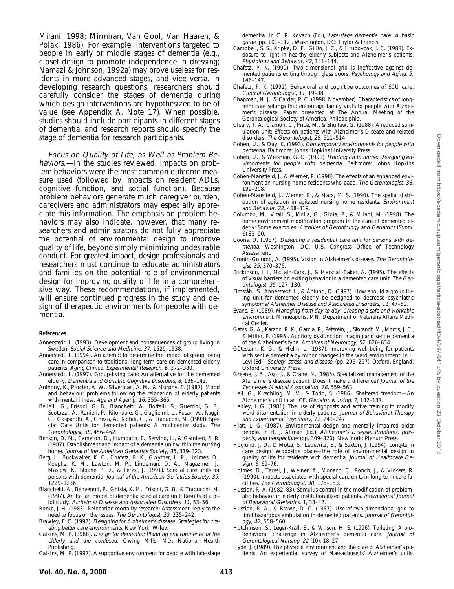Milani, 1998; Mirmiran, Van Gool, Van Haaren, & Polak, 1986). For example, interventions targeted to people in early or middle stages of dementia (e.g., closet design to promote independence in dressing; Namazi & Johnson, 1992a) may prove useless for residents in more advanced stages, and vice versa. In developing research questions, researchers should carefully consider the stages of dementia during which design interventions are hypothesized to be of value (see Appendix A, Note 17). When possible, studies should include participants in different stages of dementia, and research reports should specify the stage of dementia for research participants.

Focus on Quality of Life, as Well as Problem Behaviors.—In the studies reviewed, impacts on problem behaviors were the most common outcome measure used (followed by impacts on resident ADLs, cognitive function, and social function). Because problem behaviors generate much caregiver burden, caregivers and administrators may especially appreciate this information. The emphasis on problem behaviors may also indicate, however, that many researchers and administrators do not fully appreciate the potential of environmental design to improve quality of life, beyond simply minimizing undesirable conduct. For greatest impact, design professionals and researchers must continue to educate administrators and families on the potential role of environmental design for improving quality of life in a comprehensive way. These recommendations, if implemented, will ensure continued progress in the study and design of therapeutic environments for people with dementia.

### **References**

- Annerstedt, L. (1993). Development and consequences of group living in Sweden. Social Science and Medicine, 37, 1529–1538.
- Annerstedt, L. (1994). An attempt to determine the impact of group living care in comparison to traditional long-term care on demented elderly patients. Aging Clinical Experimental Research, 6, 372–380.
- Annerstedt, L. (1997). Group-living care: An alternative for the demented elderly. Dementia and Geriatric Cognitive Disorders, 8, 136–142.
- Anthony, K., Procter, A. W., Silverman, A. M., & Murphy, E. (1987). Mood and behaviour problems following the relocation of elderly patients with mental illness. Age and Ageing, 16, 355-365.
- Bellelli, G., Frisoni, G. B., Bianchetti, A., Boffelli, S., Guerrini, G. B., Scotuzzi, A., Ranieri, P., Ritondale, G., Guglielmi, L., Fusari, A., Raggi, G., Gasparotti, A., Gheza, A., Nobili, G., & Trabucchi, M. (1998). Special Care Units for demented patients: A multicenter study. The Gerontologist, 38, 456–462.
- Benson, D. M., Cameron, D., Humbach, E., Servino, L., & Gambert, S. R. (1987). Establishment and impact of a dementia unit within the nursing home. Journal of the American Geriatrics Society, 35, 319–323.
- Berg, L., Buckwalter, K. C., Chafetz, P. K., Gwyther, L. P., Holmes, D., Koepke, K. M., Lawton, M. P., Lindeman, D. A., Magaziner, J., Maslow, K., Sloane, P. D., & Teresi, J. (1991). Special care units for persons with dementia. Journal of the American Geriatrics Society, 39, 1229–1236.
- Bianchetti, A., Benvenuti, P., Ghisla, K. M., Frisoni, G. B., & Trabucchi, M. (1997). An Italian model of dementia special care unit: Results of a pilot study. Alzheimer Disease and Associated Disorders, 11, 53–56.
- Borup, J. H. (1983). Relocation mortality research: Assessment, reply to the need to focus on the issues. The Gerontologist, 23, 235–242.
- Brawley, E. C. (1997). Designing for Alzheimer's disease. Strategies for creating better care environments. New York: Wiley.
- Calkins, M. P. (1988). Design for dementia: Planning environments for the elderly and the confused. Owing Mills, MD: National Health Publishing.

Calkins, M. P. (1997). A supportive environment for people with late-stage

dementia. In C. R. Kovach (Ed.), Late-stage dementia care: A basic guide (pp. 101-112). Washington, DC: Taylor & Francis.

- Campbell, S. S., Kripke, D. F., Gillin, J. C., & Hrubovcak, J. C. (1988). Exposure to light in healthy elderly subjects and Alzheimer's patients. Physiology and Behavior, 42, 141–144.
- Chafetz, P. K. (1990). Two-dimensional grid is ineffective against demented patients exiting through glass doors. Psychology and Aging, 5, 146–147.
- Chafetz, P. K. (1991). Behavioral and cognitive outcomes of SCU care. Clinical Gerontologist, 11, 19–38.
- Chapman, N. J., & Carder, P. C. (1998, November). Characteristics of longterm care settings that encourage family visits to people with Alzheimer's disease. Paper presented at The Annual Meeting of the Gerontological Society of America, Philadelphia.
- Cleary, T. A., Clamon, C., Price, M., & Shullaw, G. (1988). A reduced stimulation unit: Effects on patients with Alzheimer's Disease and related disorders. The Gerontologist, 28, 511–514.
- Cohen, U., & Day, K. (1993). Contemporary environments for people with dementia. Baltimore: Johns Hopkins University Press.
- Cohen, U., & Weisman, G. D. (1991). Holding on to home: Designing environments for people with dementia. Baltimore: Johns Hopkins University Press.
- Cohen-Mansfield, J., & Werner, P. (1998). The effects of an enhanced environment on nursing home residents who pace. The Gerontologist, 38, 199–208.
- Cohen-Mansfield, J., Werner, P., & Marx, M. S. (1990). The spatial distribution of agitation in agitated nursing home residents. Environment and Behavior, 22, 408–419.
- Columbo, M., Vitali, S., Molla, G., Gioia, P., & Milani, M. (1998). The home environment modification program in the care of demented elderly: Some examples. Archives of Gerontology and Geriatrics (Suppl. 6) 83–90.
- Coons, D. (1987). Designing a residential care unit for persons with dementia. Washington, DC: U.S. Congress Office of Technology Assessment.
- Cronin-Golumb, A. (1995). Vision in Alzheimer's disease. The Gerontologist, 35, 370–376.
- Dickinson, J. I., McLain-Kark, J., & Marshall-Baker, A. (1995). The effects of visual barriers on exiting behavior in a demented care unit. The Gerontologist, 35, 127–130.
- Elmståhl, S., Annerstedt, L., & Åhlund, O. (1997). How should a group living unit for demented elderly be designed to decrease psychiatric symptoms? Alzheimer Disease and Associated Disorders, 11, 47–52.
- Evans, B. (1989). Managing from day to day: Creating a safe and workable environment. Minneapolis, MN: Department of Veterans Affairs Medical Center.
- Gates, G. A., Karzon, R. K., Garcia, P., Peterein, J., Storandt, M., Morris, J. C., & Miller, P. (1995). Auditory dysfunction in aging and senile dementia of the Alzheimer's type. Archives of Neurology, 52, 626–634.
- Götestam, K. G., & Melin, L. (1987). Improving well-being for patients with senile dementia by minor changes in the ward environment. In L. Levi (Ed.), Society, stress, and disease. (pp. 295–297). Oxford, England: Oxford University Press.
- Greene, J. A., Asp, J., & Crane, N. (1985). Specialized management of the Alzheimer's disease patient: Does it make a difference? Journal of the Tennessee Medical Association, 78, 559–563.
- Hall, G., Kirschling, M. V., & Todd, S. (1986). Sheltered freedom—An Alzheimer's unit in an ICF. Geriatric Nursing, 7, 132–137.
- Hanley, I. G. (1981). The use of signposts and active training to modify ward disorientation in elderly patients. Journal of Behavioral Therapy and Experimental Psychiatry, 12, 241–247.
- Hiatt, L. G. (1987). Environmental design and mentally impaired older people. In H. J. Altman (Ed.), Alzheimer's Disease. Problems, prospects, and perspectives (pp. 309–320). New York: Plenum Press.
- Hoglund, J. D., DiMotta, S., Ledewitz, S., & Saxton, J. (1994). Long-term care design: Woodside place—the role of environmental design in quality of life for residents with dementia. Journal of Healthcare Design, 6, 69–76.
- Holmes, D., Teresi, J., Weiner, A., Monaco, C., Ronch, J., & Vickers, R. (1990). Impacts associated with special care units in long-term care facilities. The Gerontologist, 30, 178–183.
- Hussian, R. A. (1982–83). Stimulus control in the modification of problematic behavior in elderly institutionalized patients. International Journal of Behavioral Geriatrics, 1, 33–42.
- Hussian, R. A., & Brown, D. C. (1987). Use of two-dimensional grid to limit hazardous ambulation in demented patients. Journal of Gerontology, 42, 558–560.
- Hutchinson, S., Leger-Krall, S., & Wilson, H. S. (1996). Toileting: A biobehavioral challenge in Alzheimer's dementia care. Journal of Gerontological Nursing, 22 (10), 18–27.
- Hyde, J. (1989). The physical environment and the care of Alzheimer's patients: An experiential survey of Massachusetts' Alzheimer's units.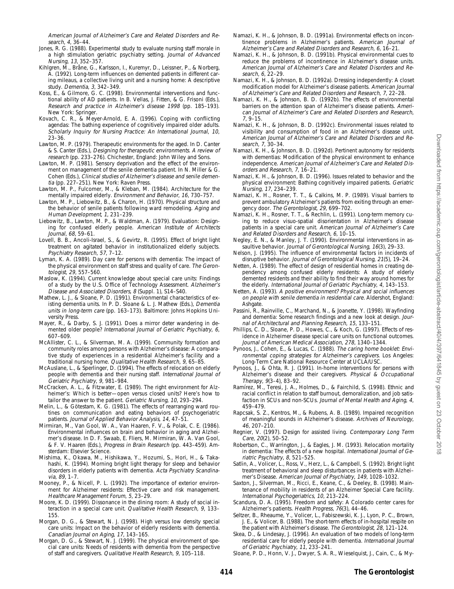American Journal of Alzheimer's Care and Related Disorders and Research, 4, 36–44.

- Jones, R. G. (1988). Experimental study to evaluate nursing staff morale in a high stimulation geriatric psychiatry setting. Journal of Advanced Nursing, 13, 352–357.
- Kihlgren, M., Bråne, G., Karlsson, I., Kuremyr, D., Leissner, P., & Norberg, A. (1992). Long-term influences on demented patients in different caring mileaus, a collective living unit and a nursing home: A descriptive study. Dementia, 3, 342–349.
- Koss, E., & Gilmore, G. C. (1998). Environmental interventions and functional ability of AD patients. In B. Vellas, J. Fitten, & G. Frisoni (Eds.), Research and practice in Alzheimer's disease 1998 (pp. 185–193). New York: Springer.
- Kovach, C. R., & Meyer-Arnold, E. A. (1996). Coping with conflicting agendas: The bathing experience of cognitively impaired older adults. Scholarly Inquiry for Nursing Practice: An International Journal, 10, 23–36.
- Lawton, M. P. (1979). Therapeutic environments for the aged. In D. Canter & S. Canter (Eds.), Designing for therapeutic environments. A review of research (pp. 233–276). Chichester, England: John Wiley and Sons.
- Lawton, M. P. (1981). Sensory deprivation and the effect of the environment on management of the senile dementia patient. In N. Miller & G. Cohen (Eds.), Clinical studies of Alzheimer's disease and senile dementia (pp. 227–251). New York: Raven Press.
- Lawton, M. P., Fulcomer, M., & Kleban, M. (1984). Architecture for the mentally impaired elderly. Environment and Behavior, 16, 730–757.
- Lawton, M. P., Liebowitz, B., & Charon, H. (1970). Physical structure and the behavior of senile patients following ward remodeling. Aging and Human Development, 1, 231–239.
- Liebowitz, B., Lawton, M. P., & Waldman, A. (1979). Evaluation: Designing for confused elderly people. American Institute of Architects Journal, 68, 59–61.
- Lovell, B. B., Ancoli-Israel, S., & Gevirtz, R. (1995). Effect of bright light treatment on agitated behavior in institutionalized elderly subjects. Psychiatry Research, 57, 7–12.
- Lyman, K. A. (1989). Day care for persons with dementia: The impact of the physical environment on staff stress and quality of care. The Gerontologist, 29, 557–560.
- Maslow, K. (1994). Current knowledge about special care units: Findings of a study by the U.S. Office of Technology Assessment. Alzheimer's Disease and Associated Disorders, 8 (Suppl. 1), S14–S40.
- Mathew, L. J., & Sloane, P. D. (1991). Environmental characteristics of existing dementia units. In P. D. Sloane & L. J. Mathew (Eds.), Dementia units in long-term care (pp. 163–173). Baltimore: Johns Hopkins University Press.
- Mayer, R., & Darby, S. J. (1991). Does a mirror deter wandering in demented older people? International Journal of Geriatric Psychiatry, 6, 607–609.
- McAllister, C. L., & Silverman, M. A. (1999). Community formation and community roles among persons with Alzheimer's disease: A comparative study of experiences in a residential Alzheimer's facility and a traditional nursing home. Qualitative Health Research, 9, 65–85.
- McAuslane, L., & Sperlinger, D. (1994). The effects of relocation on elderly people with dementia and their nursing staff. International Journal of Geriatric Psychiatry, 9, 981–984.
- McCracken, A. L., & Fitzwater, E. (1989). The right environment for Alzheimer's: Which is better—open versus closed units? Here's how to tailor the answer to the patient. Geriatric Nursing, 10, 293–294.
- Melin, L., & Götestam, K. G. (1981). The effects of rearranging ward routines on communication and eating behaviors of psychogeriatric patients. Journal of Applied Behavior Analysis, 14, 47–51.
- Mirmiran, M., Van Gool, W. A., Van Haaren, F. V., & Polak, C. E. (1986). Environmental influences on brain and behavior in aging and Alzheimer's disease. In D. F. Swaab, E. Fliers, M. Mirmiran, W. A. Van Gool, & F. V. Haaren (Eds.), Progress in Brain Research (pp. 443-459). Amsterdam: Elsevier Science.
- Mishima, K., Okawa, M., Hishikawa, Y., Hozumi, S., Hori, H., & Takahashi, K. (1994). Morning bright light therapy for sleep and behavior disorders in elderly patients with dementia. Acta Psychiatry Scandinavia, 89, 1–7.
- Mooney, P., & Nicell, P. L. (1992). The importance of exterior environment for Alzheimer residents: Effective care and risk management. Healthcare Management Forum, 5, 23–29.
- Moore, K. D. (1999). Dissonance in the dining room: A study of social interaction in a special care unit. Qualitative Health Research, 9, 133-155.
- Morgan, D. G., & Stewart, N. J. (1998). High versus low density special care units: Impact on the behavior of elderly residents with dementia. Canadian Journal on Aging, 17, 143–165.
- Morgan, D. G., & Stewart, N. J. (1999). The physical environment of special care units: Needs of residents with dementia from the perspective of staff and caregivers. Qualitative Health Research, 9, 105–118.
- Namazi, K. H., & Johnson, B. D. (1991a). Environmental effects on incontinence problems in Alzheimer's patients. American Journal of Alzheimer's Care and Related Disorders and Research, 6, 16–21.
- Namazi, K. H., & Johnson, B. D. (1991b). Physical environmental cues to reduce the problems of incontinence in Alzheimer's disease units. American Journal of Alzheimer's Care and Related Disorders and Research, 6, 22–29.
- Namazi, K. H., & Johnson, B. D. (1992a). Dressing independently: A closet modification model for Alzheimer's disease patients. American Journal of Alzheimer's Care and Related Disorders and Research, 7, 22–28.
- Namazi, K. H., & Johnson, B. D. (1992b). The effects of environmental barriers on the attention span of Alzheimer's disease patients. American Journal of Alzheimer's Care and Related Disorders and Research, <sup>7</sup>, 9–15.
- Namazi, K. H., & Johnson, B. D. (1992c). Environmental issues related to visibility and consumption of food in an Alzheimer's disease unit. American Journal of Alzheimer's Care and Related Disorders and Research, 7, 30–34.
- Namazi, K. H., & Johnson, B. D. (1992d). Pertinent autonomy for residents with dementias: Modification of the physical environment to enhance independence. American Journal of Alzheimer's Care and Related Disorders and Research, 7, 16–21.
- Namazi, K. H., & Johnson, B. D. (1996). Issues related to behavior and the physical environment: Bathing cognitively impaired patients. Geriatric Nursing, 17, 234–239.
- Namazi, K. H., Rosner, T. T., & Calkins, M. P. (1989). Visual barriers to prevent ambulatory Alzheimer's patients from exiting through an emergency door. The Gerontologist, 29, 699–702.
- Namazi, K. H., Rosner, T. T., & Rechlin, L. (1991). Long-term memory cuing to reduce visuo-spatial disorientation in Alzheimer's disease patients in a special care unit. American Journal of Alzheimer's Care and Related Disorders and Research, 6, 10–15.
- Negley, E. N., & Manley, J. T. (1990). Environmental interventions in assaultive behavior. Journal of Gerontological Nursing, 16(3), 29-33.
- Nelson, J. (1995). The influence of environmental factors in incidents of disruptive behavior. Journal of Gerontological Nursing, 21(5), 19–24.
- Netten, A. (1989). The effect of design of residential homes in creating dependency among confused elderly residents: A study of elderly demented residents and their ability to find their way around homes for the elderly. International Journal of Geriatric Psychiatry, 4, 143–153.
- Netten, A. (1993). A positive environment? Physical and social influences on people with senile dementia in residential care. Aldershot, England: Ashgate.
- Passini, R., Rainville, C., Marchand, N., & Joanette, Y. (1998). Wayfinding and dementia: Some research findings and a new look at design. Journal of Architectural and Planning Research, 15, 133–151.
- Phillips, C. D., Sloane, P. D., Howes, C., & Koch, G. (1997). Effects of residence in Alzheimer disease special care units on functional outcomes. Journal of American Medical Association, 278, 1340–1344.
- Pynoos, J., Cohen, E., & Lucas, C. (1988). The caring home booklet: Environmental coping strategies for Alzheimer's caregivers. Los Angeles: Long-Term Care National Resource Center at UCLA/USC.
- Pynoos, J., & Ohta, R. J. (1991). In-home interventions for persons with Alzheimer's disease and their caregivers. Physical & Occupational Therapy, 9(3–4), 83–92.
- Ramírez, M., Teresi, J. A., Holmes, D., & Fairchild, S. (1998). Ethnic and racial conflict in relation to staff burnout, demoralization, and job satisfaction in SCUs and non-SCUs. Journal of Mental Health and Aging, 4, 459–479.
- Rapcsak, S. Z., Kentros, M., & Rubens, A. B. (1989). Impaired recognition of meaningful sounds in Alzheimer's disease. Archives of Neurology, 46, 207–210.
- Regnier, V. (1997). Design for assisted living. Contemporary Long Term Care, 20(2), 50–52.
- Robertson, C., Warrington, J., & Eagles, J. M. (1993). Relocation mortality in dementia: The effects of a new hospital. International Journal of Geriatric Psychiatry, 8, 521–525.
- Satlin, A., Volicer, L., Ross, V., Herz, L., & Campbell, S. (1992). Bright light treatment of behavioral and sleep disturbances in patients with Alzhei– mer's Disease. American Journal of Psychiatry, 149, 1028–1032.
- Saxton, J., Silverman, M., Ricci, E., Keane, C., & Deeley, B. (1998). Maintenance of mobility in residents of an Alzheimer Special Care facility. International Psychogeriatrics, 10, 213–224.
- Scandura, D. A. (1995). Freedom and safety: A Colorado center cares for Alzheimer's patients. Health Progress, 76(3), 44–46.
- Seltzer, B., Rheaume, Y., Volicer, L., Fabiszewski, K. J., Lyon, P. C., Brown, J. E., & Volicer, B. (1988). The short-term effects of in-hospital respite on the patient with Alzheimer's disease. The Gerontologist, 28, 121-124.
- Skea, D., & Lindesay, J. (1996). An evaluation of two models of long-term residential care for elderly people with dementia. International Journal of Geriatric Psychiatry, 11, 233–241.
- Sloane, P. D., Honn, V. J., Dwyer, S. A. R., Wieselquist, J., Cain, C., & My-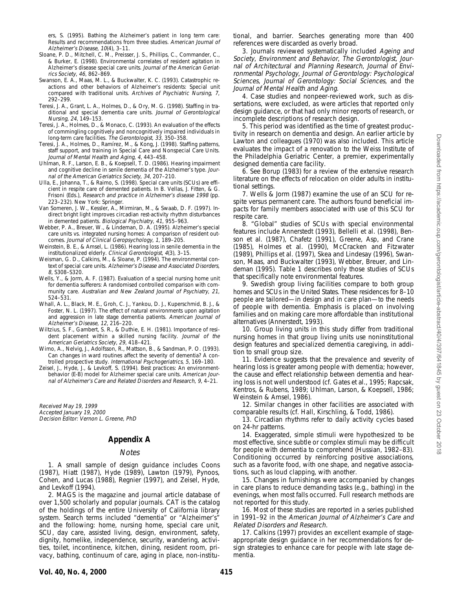ers, S. (1995). Bathing the Alzheimer's patient in long term care: Results and recommendations from three studies. American Journal of Alzheimer's Disease, 10(4), 3–11.

- Sloane, P. D., Mitchell, C. M., Preisser, J. S., Phillips, C., Commander, C., & Burker, E. (1998). Environmental correlates of resident agitation in Alzheimer's disease special care units. Journal of the American Geriatrics Society, 46, 862–869.
- Swanson, E. A., Maas, M. L., & Buckwalter, K. C. (1993). Catastrophic reactions and other behaviors of Alzheimer's residents: Special unit compared with traditional units. Archives of Psychiatric Nursing, 7, 292–299.
- Teresi, J. A., Grant, L. A., Holmes, D., & Ory, M. G. (1998). Staffing in traditional and special dementia care units. Journal of Gerontological Nursing, 24, 149–153.
- Teresi, J. A., Holmes, D., & Monaco, C. (1993). An evaluation of the effects of commingling cognitively and noncognitively impaired individuals in long-term care facilities. The Gerontologist, 33, 350–358.
- Teresi, J. A., Holmes, D., Ramírez, M., & Kong, J. (1998). Staffing patterns, staff support, and training in Special Care and Nonspecial Care Units. Journal of Mental Health and Aging, 4, 443–458.
- Uhlman, R. F., Larson, E. B., & Koepsell, T. D. (1986). Hearing impairment and cognitive decline in senile dementia of the Alzheimer's type. Journal of the American Geriatrics Society, 34, 207–210.
- Ulla, E., Johanna, T., & Raimo, S. (1998). Special care units (SCUs) are efficient in respite care of demented patients. In B. Vellas, J. Fitten, & G. Frisoni (Eds.), Research and practice in Alzheimer's disease 1998 (pp. 223–232). New York: Springer.
- Van Someren, J. W., Kessler, A., Mirmiran, M., & Swaab, D. F. (1997). Indirect bright light improves circadian rest-activity rhythm disturbances in demented patients. Biological Psychiatry, 41, 955–963.
- Webber, P. A., Breuer, W., & Lindeman, D. A. (1995). Alzheimer's special care units vs. integrated nursing homes: A comparison of resident outcomes. Journal of Clinical Geropsychology, 1, 189–205.
- Weinstein, B. E., & Amsel, L. (1986). Hearing loss in senile dementia in the institutionalized elderly. Clinical Gerontologist, 4(3), 3–15.
- Weisman, G. D., Calkins, M., & Sloane, P. (1994). The environmental context of special care units. Alzheimer's Disease and Associated Disorders, 8, S308–S320.
- Wells, Y., & Jorm, A. F. (1987). Evaluation of a special nursing home unit for dementia sufferers: A randomised controlled comparison with community care. Australian and New Zealand Journal of Psychiatry, 21, 524–531.
- Whall, A. L., Black, M. E., Groh, C. J., Yankou, D. J., Kuperschmid, B. J., & Foster, N. L. (1997). The effect of natural environments upon agitation and aggression in late stage dementia patients. American Journal of Alzheimer's Disease, 12, 216–220.
- Wiltzius, S. F., Gambert, S. R., & Duthie, E. H. (1981). Importance of resident placement within a skilled nursing facility. Journal of the American Geriatrics Society, 29, 418–421.
- Wimo, A., Nelvig, J., Adolfsson, R., Mattson, B., & Sandman, P. O. (1993). Can changes in ward routines affect the severity of dementia? A controlled prospective study. International Psychogeriatrics, 5, 169–180.
- Zeisel, J., Hyde, J., & Levkoff, S. (1994). Best practices: An environmentbehavior (E-B) model for Alzheimer special care units. American Journal of Alzheimer's Care and Related Disorders and Research, 9, 4–21.

Received May 19, 1999 Accepted January 19, 2000 Decision Editor: Vernon L. Greene, PhD

### **Appendix A**

### Notes

1. A small sample of design guidance includes Coons (1987), Hiatt (1987), Hyde (1989), Lawton (1979), Pynoos, Cohen, and Lucas (1988), Regnier (1997), and Zeisel, Hyde, and Levkoff (1994).

2. MAGS is the magazine and journal article database of over 1,500 scholarly and popular journals. CAT is the catalog of the holdings of the entire University of California library system. Search terms included "dementia" or "Alzheimer's" and the following: home, nursing home, special care unit, SCU, day care, assisted living, design, environment, safety, dignity, homelike, independence, security, wandering, activities, toilet, incontinence, kitchen, dining, resident room, privacy, bathing, continuum of care, aging in place, non-institutional, and barrier. Searches generating more than 400 references were discarded as overly broad.

3. Journals reviewed systematically included Ageing and Society, Environment and Behavior, The Gerontologist, Journal of Architectural and Planning Research, Journal of Environmental Psychology, Journal of Gerontology: Psychological Sciences, Journal of Gerontology: Social Sciences, and the Journal of Mental Health and Aging.

4. Case studies and nonpeer-reviewed work, such as dissertations, were excluded, as were articles that reported only design guidance, or that had only minor reports of research, or incomplete descriptions of research design.

5. This period was identified as the time of greatest productivity in research on dementia and design. An earlier article by Lawton and colleagues (1970) was also included. This article evaluates the impact of a renovation to the Weiss Institute of the Philadelphia Geriatric Center, a premier, experimentally designed dementia care facility.

6. See Borup (1983) for a review of the extensive research literature on the effects of relocation on older adults in institutional settings.

7. Wells & Jorm (1987) examine the use of an SCU for respite versus permanent care. The authors found beneficial impacts for family members associated with use of this SCU for respite care.

8. "Global" studies of SCUs with special environmental features include Annerstedt (1993), Bellelli et al. (1998), Benson et al. (1987), Chafetz (1991), Greene, Asp, and Crane (1985), Holmes et al. (1990), McCracken and Fitzwater (1989), Phillips et al. (1997), Skea and Lindesay (1996), Swanson, Maas, and Buckwalter (1993), Webber, Breuer, and Lindeman (1995). Table 1 describes only those studies of SCUs that specifically note environmental features.

9. Swedish group living facilities compare to both group homes and SCUs in the United States. These residences for 8–10 people are tailored—in design and in care plan—to the needs of people with dementia. Emphasis is placed on involving families and on making care more affordable than institutional alternatives (Annerstedt, 1993).

10. Group living units in this study differ from traditional nursing homes in that group living units use noninstitutional design features and specialized dementia caregiving, in addition to small group size.

11. Evidence suggests that the prevalence and severity of hearing loss is greater among people with dementia; however, the cause and effect relationship between dementia and hearing loss is not well understood (cf. Gates et al., 1995; Rapcsak, Kentros, & Rubens, 1989; Uhlman, Larson, & Koepsell, 1986; Weinstein & Amsel, 1986).

12. Similar changes in other facilities are associated with comparable results (cf. Hall, Kirschling, & Todd, 1986).

13. Circadian rhythms refer to daily activity cycles based on 24-hr patterns.

14. Exaggerated, simple stimuli were hypothesized to be most effective, since subtle or complex stimuli may be difficult for people with dementia to comprehend (Hussian, 1982–83). Conditioning occurred by reinforcing positive associations, such as a favorite food, with one shape, and negative associations, such as loud clapping, with another.

15. Changes in furnishings were accompanied by changes in care plans to reduce demanding tasks (e.g., bathing) in the evenings, when most falls occurred. Full research methods are not reported for this study.

16. Most of these studies are reported in a series published in 1991–92 in the American Journal of Alzheimer's Care and Related Disorders and Research.

17. Calkins (1997) provides an excellent example of stageappropriate design guidance in her recommendations for design strategies to enhance care for people with late stage dementia.